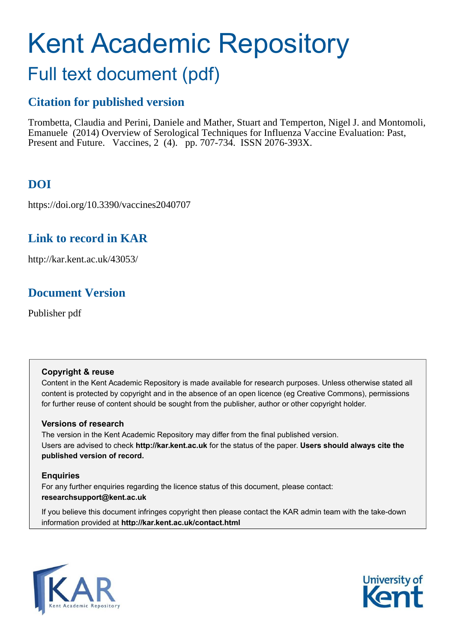# Kent Academic Repository

## Full text document (pdf)

## **Citation for published version**

Trombetta, Claudia and Perini, Daniele and Mather, Stuart and Temperton, Nigel J. and Montomoli, Emanuele (2014) Overview of Serological Techniques for Influenza Vaccine Evaluation: Past, Present and Future. Vaccines, 2 (4). pp. 707-734. ISSN 2076-393X.

## **DOI**

https://doi.org/10.3390/vaccines2040707

## **Link to record in KAR**

http://kar.kent.ac.uk/43053/

## **Document Version**

Publisher pdf

#### **Copyright & reuse**

Content in the Kent Academic Repository is made available for research purposes. Unless otherwise stated all content is protected by copyright and in the absence of an open licence (eg Creative Commons), permissions for further reuse of content should be sought from the publisher, author or other copyright holder.

#### **Versions of research**

The version in the Kent Academic Repository may differ from the final published version. Users are advised to check **http://kar.kent.ac.uk** for the status of the paper. **Users should always cite the published version of record.**

#### **Enquiries**

For any further enquiries regarding the licence status of this document, please contact: **researchsupport@kent.ac.uk**

If you believe this document infringes copyright then please contact the KAR admin team with the take-down information provided at **http://kar.kent.ac.uk/contact.html**



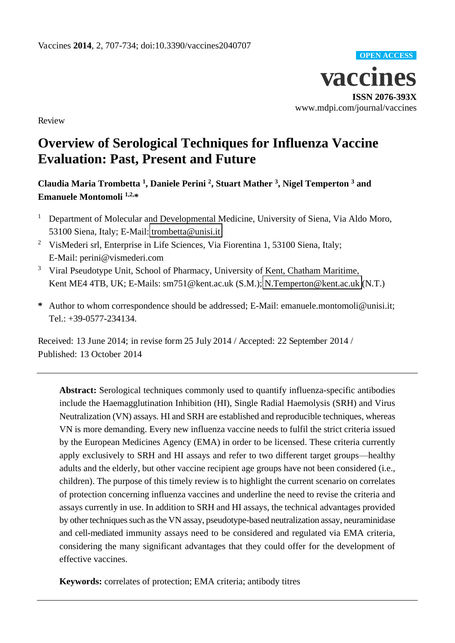

Review

## **Overview of Serological Techniques for Influenza Vaccine Evaluation: Past, Present and Future**

**Claudia Maria Trombetta <sup>1</sup> , Daniele Perini <sup>2</sup> , Stuart Mather <sup>3</sup> , Nigel Temperton <sup>3</sup> and Emanuele Montomoli 1,2,\*** 

- <sup>1</sup> Department of Molecular and Developmental Medicine, University of Siena, Via Aldo Moro, 53100 Siena, Italy; E-Mail: [trombetta@unisi.it](mailto:trombetta@unisi.it)
- <sup>2</sup> VisMederi srl, Enterprise in Life Sciences, Via Fiorentina 1, 53100 Siena, Italy; E-Mail: perini@vismederi.com
- <sup>3</sup> Viral Pseudotype Unit, School of Pharmacy, University of Kent, Chatham Maritime, Kent ME4 4TB, UK; E-Mails: sm751@kent.ac.uk (S.M.); [N.Temperton@kent.ac.uk](mailto:N.Temperton@kent.ac.uk) (N.T.)
- **\*** Author to whom correspondence should be addressed; E-Mail: emanuele.montomoli@unisi.it; Tel.: +39-0577-234134.

Received: 13 June 2014; in revise form 25 July 2014 / Accepted: 22 September 2014 / Published: 13 October 2014

**Abstract:** Serological techniques commonly used to quantify influenza-specific antibodies include the Haemagglutination Inhibition (HI), Single Radial Haemolysis (SRH) and Virus Neutralization (VN) assays. HI and SRH are established and reproducible techniques, whereas VN is more demanding. Every new influenza vaccine needs to fulfil the strict criteria issued by the European Medicines Agency (EMA) in order to be licensed. These criteria currently apply exclusively to SRH and HI assays and refer to two different target groups—healthy adults and the elderly, but other vaccine recipient age groups have not been considered (i.e., children). The purpose of this timely review is to highlight the current scenario on correlates of protection concerning influenza vaccines and underline the need to revise the criteria and assays currently in use. In addition to SRH and HI assays, the technical advantages provided by other techniques such as the VN assay, pseudotype-based neutralization assay, neuraminidase and cell-mediated immunity assays need to be considered and regulated via EMA criteria, considering the many significant advantages that they could offer for the development of effective vaccines.

**Keywords:** correlates of protection; EMA criteria; antibody titres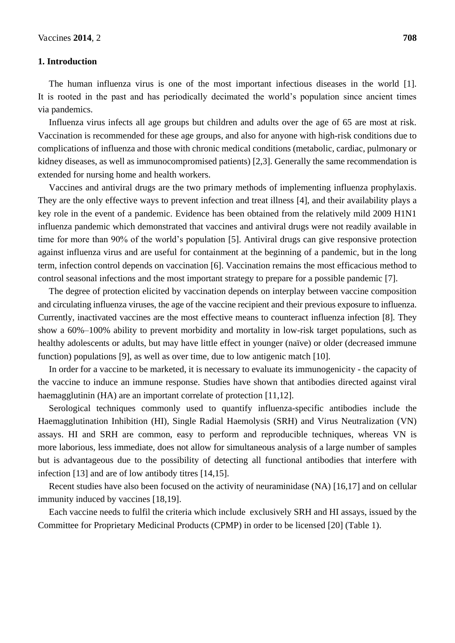#### **1. Introduction**

The human influenza virus is one of the most important infectious diseases in the world [1]. It is rooted in the past and has periodically decimated the world's population since ancient times via pandemics.

Influenza virus infects all age groups but children and adults over the age of 65 are most at risk. Vaccination is recommended for these age groups, and also for anyone with high-risk conditions due to complications of influenza and those with chronic medical conditions (metabolic, cardiac, pulmonary or kidney diseases, as well as immunocompromised patients) [2,3]. Generally the same recommendation is extended for nursing home and health workers.

Vaccines and antiviral drugs are the two primary methods of implementing influenza prophylaxis. They are the only effective ways to prevent infection and treat illness [4], and their availability plays a key role in the event of a pandemic. Evidence has been obtained from the relatively mild 2009 H1N1 influenza pandemic which demonstrated that vaccines and antiviral drugs were not readily available in time for more than 90% of the world's population [5]. Antiviral drugs can give responsive protection against influenza virus and are useful for containment at the beginning of a pandemic, but in the long term, infection control depends on vaccination [6]. Vaccination remains the most efficacious method to control seasonal infections and the most important strategy to prepare for a possible pandemic [7].

The degree of protection elicited by vaccination depends on interplay between vaccine composition and circulating influenza viruses, the age of the vaccine recipient and their previous exposure to influenza. Currently, inactivated vaccines are the most effective means to counteract influenza infection [8]. They show a 60%–100% ability to prevent morbidity and mortality in low-risk target populations, such as healthy adolescents or adults, but may have little effect in younger (naïve) or older (decreased immune function) populations [9], as well as over time, due to low antigenic match [10].

In order for a vaccine to be marketed, it is necessary to evaluate its immunogenicity - the capacity of the vaccine to induce an immune response. Studies have shown that antibodies directed against viral haemagglutinin (HA) are an important correlate of protection [11,12].

Serological techniques commonly used to quantify influenza-specific antibodies include the Haemagglutination Inhibition (HI), Single Radial Haemolysis (SRH) and Virus Neutralization (VN) assays. HI and SRH are common, easy to perform and reproducible techniques, whereas VN is more laborious, less immediate, does not allow for simultaneous analysis of a large number of samples but is advantageous due to the possibility of detecting all functional antibodies that interfere with infection [13] and are of low antibody titres [14,15].

Recent studies have also been focused on the activity of neuraminidase (NA) [16,17] and on cellular immunity induced by vaccines [18,19].

Each vaccine needs to fulfil the criteria which include exclusively SRH and HI assays, issued by the Committee for Proprietary Medicinal Products (CPMP) in order to be licensed [20] (Table 1).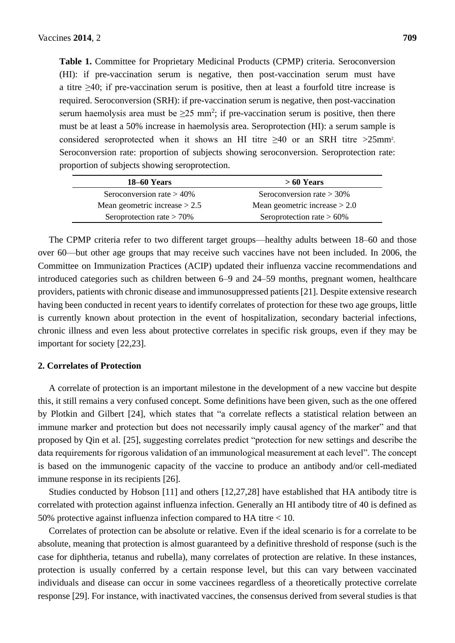**Table 1.** Committee for Proprietary Medicinal Products (CPMP) criteria. Seroconversion (HI): if pre-vaccination serum is negative, then post-vaccination serum must have a titre  $\geq 40$ ; if pre-vaccination serum is positive, then at least a fourfold titre increase is required. Seroconversion (SRH): if pre-vaccination serum is negative, then post-vaccination serum haemolysis area must be  $\geq 25$  mm<sup>2</sup>; if pre-vaccination serum is positive, then there must be at least a 50% increase in haemolysis area. Seroprotection (HI): a serum sample is considered seroprotected when it shows an HI titre  $\geq 40$  or an SRH titre  $>25$ mm<sup>2</sup>. Seroconversion rate: proportion of subjects showing seroconversion. Seroprotection rate: proportion of subjects showing seroprotection.

| 18–60 Years                     | $>60$ Years                     |
|---------------------------------|---------------------------------|
| Seroconversion rate $> 40\%$    | Seroconversion rate $> 30\%$    |
| Mean geometric increase $> 2.5$ | Mean geometric increase $> 2.0$ |
| Seroprotection rate $> 70\%$    | Seroprotection rate $> 60\%$    |

The CPMP criteria refer to two different target groups—healthy adults between 18–60 and those over 60—but other age groups that may receive such vaccines have not been included. In 2006, the Committee on Immunization Practices (ACIP) updated their influenza vaccine recommendations and introduced categories such as children between 6–9 and 24–59 months, pregnant women, healthcare providers, patients with chronic disease and immunosuppressed patients [21]. Despite extensive research having been conducted in recent years to identify correlates of protection for these two age groups, little is currently known about protection in the event of hospitalization, secondary bacterial infections, chronic illness and even less about protective correlates in specific risk groups, even if they may be important for society [22,23].

#### **2. Correlates of Protection**

A correlate of protection is an important milestone in the development of a new vaccine but despite this, it still remains a very confused concept. Some definitions have been given, such as the one offered by Plotkin and Gilbert [24], which states that "a correlate reflects a statistical relation between an immune marker and protection but does not necessarily imply causal agency of the marker" and that proposed by Qin et al. [25], suggesting correlates predict "protection for new settings and describe the data requirements for rigorous validation of an immunological measurement at each level". The concept is based on the immunogenic capacity of the vaccine to produce an antibody and/or cell-mediated immune response in its recipients [26].

Studies conducted by Hobson [11] and others [12,27,28] have established that HA antibody titre is correlated with protection against influenza infection. Generally an HI antibody titre of 40 is defined as 50% protective against influenza infection compared to HA titre < 10.

Correlates of protection can be absolute or relative. Even if the ideal scenario is for a correlate to be absolute, meaning that protection is almost guaranteed by a definitive threshold of response (such is the case for diphtheria, tetanus and rubella), many correlates of protection are relative. In these instances, protection is usually conferred by a certain response level, but this can vary between vaccinated individuals and disease can occur in some vaccinees regardless of a theoretically protective correlate response [29]. For instance, with inactivated vaccines, the consensus derived from several studies is that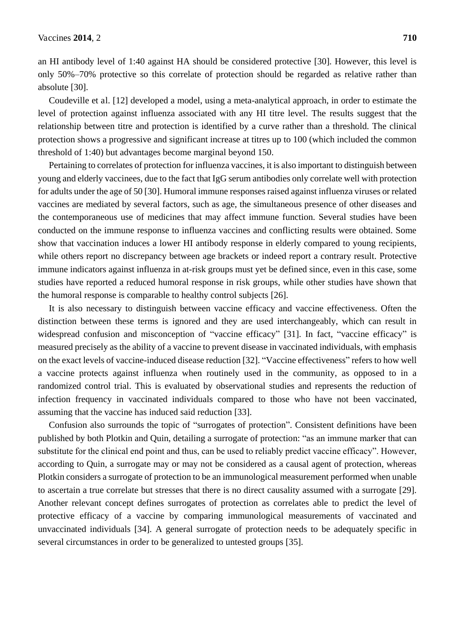an HI antibody level of 1:40 against HA should be considered protective [30]. However, this level is only 50%–70% protective so this correlate of protection should be regarded as relative rather than absolute [30].

Coudeville et al. [12] developed a model, using a meta-analytical approach, in order to estimate the level of protection against influenza associated with any HI titre level. The results suggest that the relationship between titre and protection is identified by a curve rather than a threshold. The clinical protection shows a progressive and significant increase at titres up to 100 (which included the common threshold of 1:40) but advantages become marginal beyond 150.

Pertaining to correlates of protection for influenza vaccines, it is also important to distinguish between young and elderly vaccinees, due to the fact that IgG serum antibodies only correlate well with protection for adults under the age of 50 [30]. Humoral immune responses raised against influenza viruses or related vaccines are mediated by several factors, such as age, the simultaneous presence of other diseases and the contemporaneous use of medicines that may affect immune function. Several studies have been conducted on the immune response to influenza vaccines and conflicting results were obtained. Some show that vaccination induces a lower HI antibody response in elderly compared to young recipients, while others report no discrepancy between age brackets or indeed report a contrary result. Protective immune indicators against influenza in at-risk groups must yet be defined since, even in this case, some studies have reported a reduced humoral response in risk groups, while other studies have shown that the humoral response is comparable to healthy control subjects [26].

It is also necessary to distinguish between vaccine efficacy and vaccine effectiveness. Often the distinction between these terms is ignored and they are used interchangeably, which can result in widespread confusion and misconception of "vaccine efficacy" [31]. In fact, "vaccine efficacy" is measured precisely as the ability of a vaccine to prevent disease in vaccinated individuals, with emphasis on the exact levels of vaccine-induced disease reduction [32]. "Vaccine effectiveness" refers to how well a vaccine protects against influenza when routinely used in the community, as opposed to in a randomized control trial. This is evaluated by observational studies and represents the reduction of infection frequency in vaccinated individuals compared to those who have not been vaccinated, assuming that the vaccine has induced said reduction [33].

Confusion also surrounds the topic of "surrogates of protection". Consistent definitions have been published by both Plotkin and Quin, detailing a surrogate of protection: "as an immune marker that can substitute for the clinical end point and thus, can be used to reliably predict vaccine efficacy". However, according to Quin, a surrogate may or may not be considered as a causal agent of protection, whereas Plotkin considers a surrogate of protection to be an immunological measurement performed when unable to ascertain a true correlate but stresses that there is no direct causality assumed with a surrogate [29]. Another relevant concept defines surrogates of protection as correlates able to predict the level of protective efficacy of a vaccine by comparing immunological measurements of vaccinated and unvaccinated individuals [34]. A general surrogate of protection needs to be adequately specific in several circumstances in order to be generalized to untested groups [35].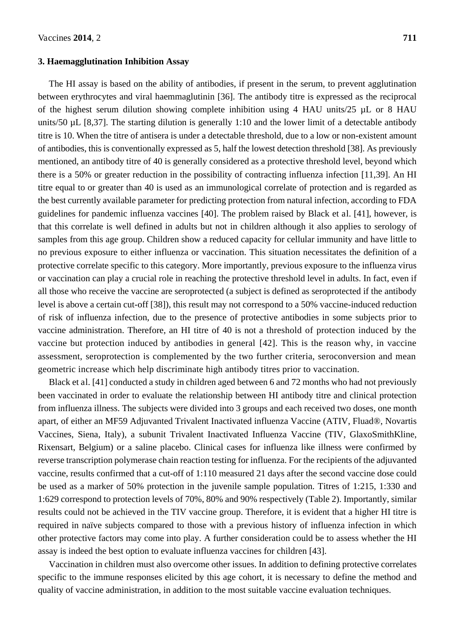#### **3. Haemagglutination Inhibition Assay**

The HI assay is based on the ability of antibodies, if present in the serum, to prevent agglutination between erythrocytes and viral haemmaglutinin [36]. The antibody titre is expressed as the reciprocal of the highest serum dilution showing complete inhibition using 4 HAU units/25 µL or 8 HAU units/50 µL [8,37]. The starting dilution is generally 1:10 and the lower limit of a detectable antibody titre is 10. When the titre of antisera is under a detectable threshold, due to a low or non-existent amount of antibodies, this is conventionally expressed as 5, half the lowest detection threshold [38]. As previously mentioned, an antibody titre of 40 is generally considered as a protective threshold level, beyond which there is a 50% or greater reduction in the possibility of contracting influenza infection [11,39]. An HI titre equal to or greater than 40 is used as an immunological correlate of protection and is regarded as the best currently available parameter for predicting protection from natural infection, according to FDA guidelines for pandemic influenza vaccines [40]. The problem raised by Black et al. [41], however, is that this correlate is well defined in adults but not in children although it also applies to serology of samples from this age group. Children show a reduced capacity for cellular immunity and have little to no previous exposure to either influenza or vaccination. This situation necessitates the definition of a protective correlate specific to this category. More importantly, previous exposure to the influenza virus or vaccination can play a crucial role in reaching the protective threshold level in adults. In fact, even if all those who receive the vaccine are seroprotected (a subject is defined as seroprotected if the antibody level is above a certain cut-off [38]), this result may not correspond to a 50% vaccine-induced reduction of risk of influenza infection, due to the presence of protective antibodies in some subjects prior to vaccine administration. Therefore, an HI titre of 40 is not a threshold of protection induced by the vaccine but protection induced by antibodies in general [42]. This is the reason why, in vaccine assessment, seroprotection is complemented by the two further criteria, seroconversion and mean geometric increase which help discriminate high antibody titres prior to vaccination.

Black et al. [41] conducted a study in children aged between 6 and 72 months who had not previously been vaccinated in order to evaluate the relationship between HI antibody titre and clinical protection from influenza illness. The subjects were divided into 3 groups and each received two doses, one month apart, of either an MF59 Adjuvanted Trivalent Inactivated influenza Vaccine (ATIV, Fluad®, Novartis Vaccines, Siena, Italy), a subunit Trivalent Inactivated Influenza Vaccine (TIV, GlaxoSmithKline, Rixensart, Belgium) or a saline placebo. Clinical cases for influenza like illness were confirmed by reverse transcription polymerase chain reaction testing for influenza. For the recipients of the adjuvanted vaccine, results confirmed that a cut-off of 1:110 measured 21 days after the second vaccine dose could be used as a marker of 50% protection in the juvenile sample population. Titres of 1:215, 1:330 and 1:629 correspond to protection levels of 70%, 80% and 90% respectively (Table 2). Importantly, similar results could not be achieved in the TIV vaccine group. Therefore, it is evident that a higher HI titre is required in naïve subjects compared to those with a previous history of influenza infection in which other protective factors may come into play. A further consideration could be to assess whether the HI assay is indeed the best option to evaluate influenza vaccines for children [43].

Vaccination in children must also overcome other issues. In addition to defining protective correlates specific to the immune responses elicited by this age cohort, it is necessary to define the method and quality of vaccine administration, in addition to the most suitable vaccine evaluation techniques.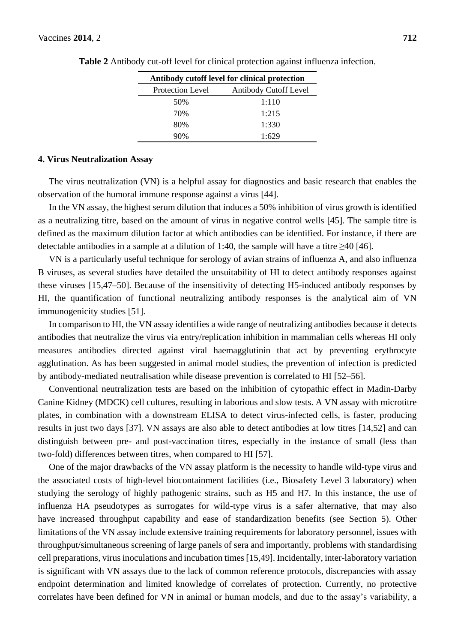| Antibody cutoff level for clinical protection |                              |
|-----------------------------------------------|------------------------------|
| <b>Protection Level</b>                       | <b>Antibody Cutoff Level</b> |
| 50%                                           | 1:110                        |
| 70%                                           | 1:215                        |
| 80%                                           | 1:330                        |
| 90%                                           | 1.629                        |

**Table 2** Antibody cut-off level for clinical protection against influenza infection.

#### **4. Virus Neutralization Assay**

The virus neutralization (VN) is a helpful assay for diagnostics and basic research that enables the observation of the humoral immune response against a virus [44].

In the VN assay, the highest serum dilution that induces a 50% inhibition of virus growth is identified as a neutralizing titre, based on the amount of virus in negative control wells [45]. The sample titre is defined as the maximum dilution factor at which antibodies can be identified. For instance, if there are detectable antibodies in a sample at a dilution of 1:40, the sample will have a titre  $\geq$ 40 [46].

VN is a particularly useful technique for serology of avian strains of influenza A, and also influenza B viruses, as several studies have detailed the unsuitability of HI to detect antibody responses against these viruses [15,47–50]. Because of the insensitivity of detecting H5-induced antibody responses by HI, the quantification of functional neutralizing antibody responses is the analytical aim of VN immunogenicity studies [51].

In comparison to HI, the VN assay identifies a wide range of neutralizing antibodies because it detects antibodies that neutralize the virus via entry/replication inhibition in mammalian cells whereas HI only measures antibodies directed against viral haemagglutinin that act by preventing erythrocyte agglutination. As has been suggested in animal model studies, the prevention of infection is predicted by antibody-mediated neutralisation while disease prevention is correlated to HI [52–56].

Conventional neutralization tests are based on the inhibition of cytopathic effect in Madin-Darby Canine Kidney (MDCK) cell cultures, resulting in laborious and slow tests. A VN assay with microtitre plates, in combination with a downstream ELISA to detect virus-infected cells, is faster, producing results in just two days [37]. VN assays are also able to detect antibodies at low titres [14,52] and can distinguish between pre- and post-vaccination titres, especially in the instance of small (less than two-fold) differences between titres, when compared to HI [57].

One of the major drawbacks of the VN assay platform is the necessity to handle wild-type virus and the associated costs of high-level biocontainment facilities (i.e., Biosafety Level 3 laboratory) when studying the serology of highly pathogenic strains, such as H5 and H7. In this instance, the use of influenza HA pseudotypes as surrogates for wild-type virus is a safer alternative, that may also have increased throughput capability and ease of standardization benefits (see Section 5). Other limitations of the VN assay include extensive training requirements for laboratory personnel, issues with throughput/simultaneous screening of large panels of sera and importantly, problems with standardising cell preparations, virus inoculations and incubation times [15,49]. Incidentally, inter-laboratory variation is significant with VN assays due to the lack of common reference protocols, discrepancies with assay endpoint determination and limited knowledge of correlates of protection. Currently, no protective correlates have been defined for VN in animal or human models, and due to the assay's variability, a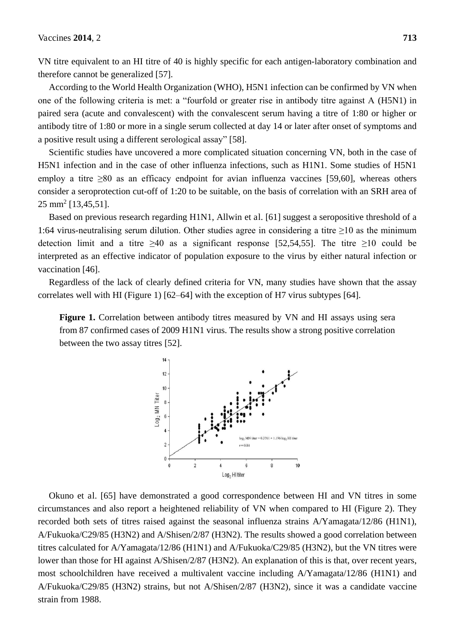VN titre equivalent to an HI titre of 40 is highly specific for each antigen-laboratory combination and therefore cannot be generalized [57].

According to the World Health Organization (WHO), H5N1 infection can be confirmed by VN when one of the following criteria is met: a "fourfold or greater rise in antibody titre against A (H5N1) in paired sera (acute and convalescent) with the convalescent serum having a titre of 1:80 or higher or antibody titre of 1:80 or more in a single serum collected at day 14 or later after onset of symptoms and a positive result using a different serological assay" [58].

Scientific studies have uncovered a more complicated situation concerning VN, both in the case of H5N1 infection and in the case of other influenza infections, such as H1N1. Some studies of H5N1 employ a titre ≥80 as an efficacy endpoint for avian influenza vaccines [59,60], whereas others consider a seroprotection cut-off of 1:20 to be suitable, on the basis of correlation with an SRH area of 25 mm<sup>2</sup> [13,45,51].

Based on previous research regarding H1N1, Allwin et al. [61] suggest a seropositive threshold of a 1:64 virus-neutralising serum dilution. Other studies agree in considering a titre  $\geq 10$  as the minimum detection limit and a titre  $\geq 40$  as a significant response [52,54,55]. The titre  $\geq 10$  could be interpreted as an effective indicator of population exposure to the virus by either natural infection or vaccination [46].

Regardless of the lack of clearly defined criteria for VN, many studies have shown that the assay correlates well with HI (Figure 1) [62–64] with the exception of H7 virus subtypes [64].

**Figure 1.** Correlation between antibody titres measured by VN and HI assays using sera from 87 confirmed cases of 2009 H1N1 virus. The results show a strong positive correlation between the two assay titres [52].



Okuno et al. [65] have demonstrated a good correspondence between HI and VN titres in some circumstances and also report a heightened reliability of VN when compared to HI (Figure 2). They recorded both sets of titres raised against the seasonal influenza strains A/Yamagata/12/86 (H1N1), A/Fukuoka/C29/85 (H3N2) and A/Shisen/2/87 (H3N2). The results showed a good correlation between titres calculated for A/Yamagata/12/86 (H1N1) and A/Fukuoka/C29/85 (H3N2), but the VN titres were lower than those for HI against A/Shisen/2/87 (H3N2). An explanation of this is that, over recent years, most schoolchildren have received a multivalent vaccine including A/Yamagata/12/86 (H1N1) and A/Fukuoka/C29/85 (H3N2) strains, but not A/Shisen/2/87 (H3N2), since it was a candidate vaccine strain from 1988.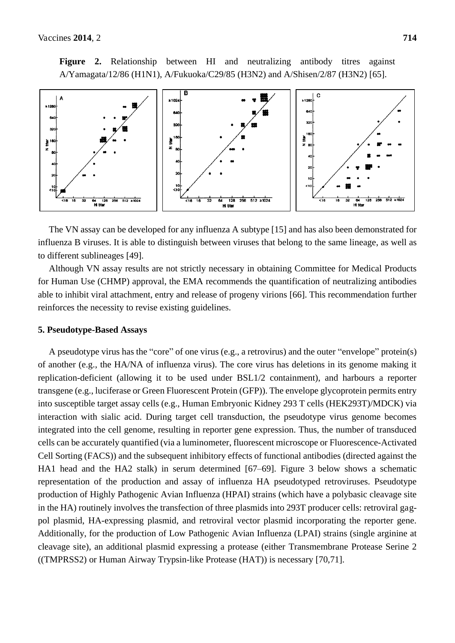**Figure 2.** Relationship between HI and neutralizing antibody titres against A/Yamagata/12/86 (H1N1), A/Fukuoka/C29/85 (H3N2) and A/Shisen/2/87 (H3N2) [65].



The VN assay can be developed for any influenza A subtype [15] and has also been demonstrated for influenza B viruses. It is able to distinguish between viruses that belong to the same lineage, as well as to different sublineages [49].

Although VN assay results are not strictly necessary in obtaining Committee for Medical Products for Human Use (CHMP) approval, the EMA recommends the quantification of neutralizing antibodies able to inhibit viral attachment, entry and release of progeny virions [66]. This recommendation further reinforces the necessity to revise existing guidelines.

#### **5. Pseudotype-Based Assays**

A pseudotype virus has the "core" of one virus (e.g., a retrovirus) and the outer "envelope" protein(s) of another (e.g., the HA/NA of influenza virus). The core virus has deletions in its genome making it replication-deficient (allowing it to be used under BSL1/2 containment), and harbours a reporter transgene (e.g., luciferase or Green Fluorescent Protein (GFP)). The envelope glycoprotein permits entry into susceptible target assay cells (e.g., Human Embryonic Kidney 293 T cells (HEK293T)/MDCK) via interaction with sialic acid. During target cell transduction, the pseudotype virus genome becomes integrated into the cell genome, resulting in reporter gene expression. Thus, the number of transduced cells can be accurately quantified (via a luminometer, fluorescent microscope or Fluorescence-Activated Cell Sorting (FACS)) and the subsequent inhibitory effects of functional antibodies (directed against the HA1 head and the HA2 stalk) in serum determined [67–69]. Figure 3 below shows a schematic representation of the production and assay of influenza HA pseudotyped retroviruses. Pseudotype production of Highly Pathogenic Avian Influenza (HPAI) strains (which have a polybasic cleavage site in the HA) routinely involves the transfection of three plasmids into 293T producer cells: retroviral gagpol plasmid, HA-expressing plasmid, and retroviral vector plasmid incorporating the reporter gene. Additionally, for the production of Low Pathogenic Avian Influenza (LPAI) strains (single arginine at cleavage site), an additional plasmid expressing a protease (either Transmembrane Protease Serine 2 ((TMPRSS2) or Human Airway Trypsin-like Protease (HAT)) is necessary [70,71].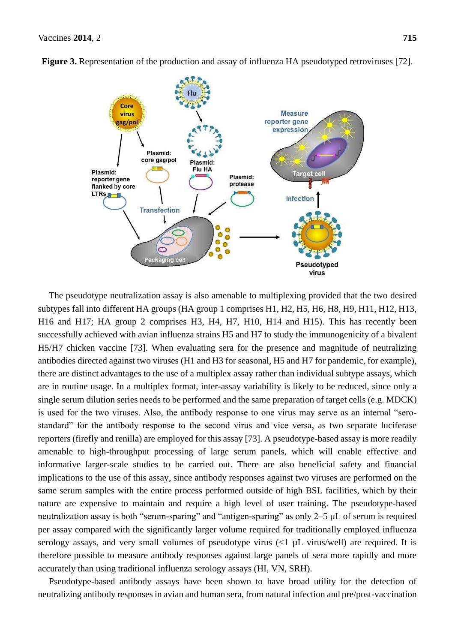

**Figure 3.** Representation of the production and assay of influenza HA pseudotyped retroviruses [72].

The pseudotype neutralization assay is also amenable to multiplexing provided that the two desired subtypes fall into different HA groups (HA group 1 comprises H1, H2, H5, H6, H8, H9, H11, H12, H13, H16 and H17; HA group 2 comprises H3, H4, H7, H10, H14 and H15). This has recently been successfully achieved with avian influenza strains H5 and H7 to study the immunogenicity of a bivalent H5/H7 chicken vaccine [73]. When evaluating sera for the presence and magnitude of neutralizing antibodies directed against two viruses (H1 and H3 for seasonal, H5 and H7 for pandemic, for example), there are distinct advantages to the use of a multiplex assay rather than individual subtype assays, which are in routine usage. In a multiplex format, inter-assay variability is likely to be reduced, since only a single serum dilution series needs to be performed and the same preparation of target cells (e.g. MDCK) is used for the two viruses. Also, the antibody response to one virus may serve as an internal "serostandard" for the antibody response to the second virus and vice versa, as two separate luciferase reporters (firefly and renilla) are employed for this assay [73]. A pseudotype-based assay is more readily amenable to high-throughput processing of large serum panels, which will enable effective and informative larger-scale studies to be carried out. There are also beneficial safety and financial implications to the use of this assay, since antibody responses against two viruses are performed on the same serum samples with the entire process performed outside of high BSL facilities, which by their nature are expensive to maintain and require a high level of user training. The pseudotype-based neutralization assay is both "serum-sparing" and "antigen-sparing" as only 2–5 µL of serum is required per assay compared with the significantly larger volume required for traditionally employed influenza serology assays, and very small volumes of pseudotype virus  $\langle$   $| \mu$ L virus/well) are required. It is therefore possible to measure antibody responses against large panels of sera more rapidly and more accurately than using traditional influenza serology assays (HI, VN, SRH).

Pseudotype-based antibody assays have been shown to have broad utility for the detection of neutralizing antibody responses in avian and human sera, from natural infection and pre/post-vaccination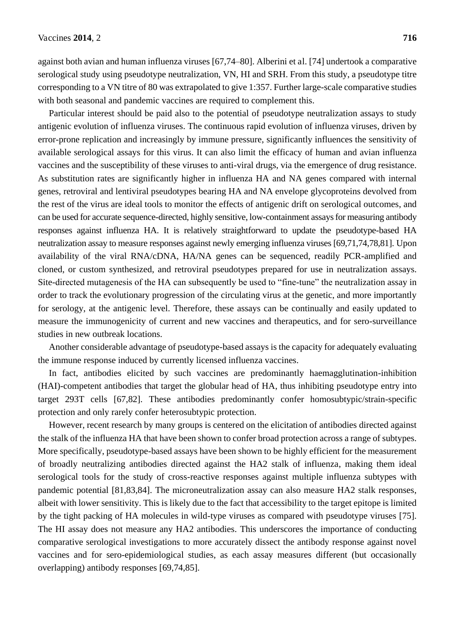against both avian and human influenza viruses [67,74–80]. Alberini et al. [74] undertook a comparative serological study using pseudotype neutralization, VN, HI and SRH. From this study, a pseudotype titre corresponding to a VN titre of 80 was extrapolated to give 1:357. Further large-scale comparative studies with both seasonal and pandemic vaccines are required to complement this.

Particular interest should be paid also to the potential of pseudotype neutralization assays to study antigenic evolution of influenza viruses. The continuous rapid evolution of influenza viruses, driven by error-prone replication and increasingly by immune pressure, significantly influences the sensitivity of available serological assays for this virus. It can also limit the efficacy of human and avian influenza vaccines and the susceptibility of these viruses to anti-viral drugs, via the emergence of drug resistance. As substitution rates are significantly higher in influenza HA and NA genes compared with internal genes, retroviral and lentiviral pseudotypes bearing HA and NA envelope glycoproteins devolved from the rest of the virus are ideal tools to monitor the effects of antigenic drift on serological outcomes, and can be used for accurate sequence-directed, highly sensitive, low-containment assaysfor measuring antibody responses against influenza HA. It is relatively straightforward to update the pseudotype-based HA neutralization assay to measure responses against newly emerging influenza viruses [69,71,74,78,81]. Upon availability of the viral RNA/cDNA, HA/NA genes can be sequenced, readily PCR-amplified and cloned, or custom synthesized, and retroviral pseudotypes prepared for use in neutralization assays. Site-directed mutagenesis of the HA can subsequently be used to "fine-tune" the neutralization assay in order to track the evolutionary progression of the circulating virus at the genetic, and more importantly for serology, at the antigenic level. Therefore, these assays can be continually and easily updated to measure the immunogenicity of current and new vaccines and therapeutics, and for sero-surveillance studies in new outbreak locations.

Another considerable advantage of pseudotype-based assays is the capacity for adequately evaluating the immune response induced by currently licensed influenza vaccines.

In fact, antibodies elicited by such vaccines are predominantly haemagglutination-inhibition (HAI)-competent antibodies that target the globular head of HA, thus inhibiting pseudotype entry into target 293T cells [67,82]. These antibodies predominantly confer homosubtypic/strain-specific protection and only rarely confer heterosubtypic protection.

However, recent research by many groups is centered on the elicitation of antibodies directed against the stalk of the influenza HA that have been shown to confer broad protection across a range of subtypes. More specifically, pseudotype-based assays have been shown to be highly efficient for the measurement of broadly neutralizing antibodies directed against the HA2 stalk of influenza, making them ideal serological tools for the study of cross-reactive responses against multiple influenza subtypes with pandemic potential [81,83,84]. The microneutralization assay can also measure HA2 stalk responses, albeit with lower sensitivity. This is likely due to the fact that accessibility to the target epitope is limited by the tight packing of HA molecules in wild-type viruses as compared with pseudotype viruses [75]. The HI assay does not measure any HA2 antibodies. This underscores the importance of conducting comparative serological investigations to more accurately dissect the antibody response against novel vaccines and for sero-epidemiological studies, as each assay measures different (but occasionally overlapping) antibody responses [69,74,85].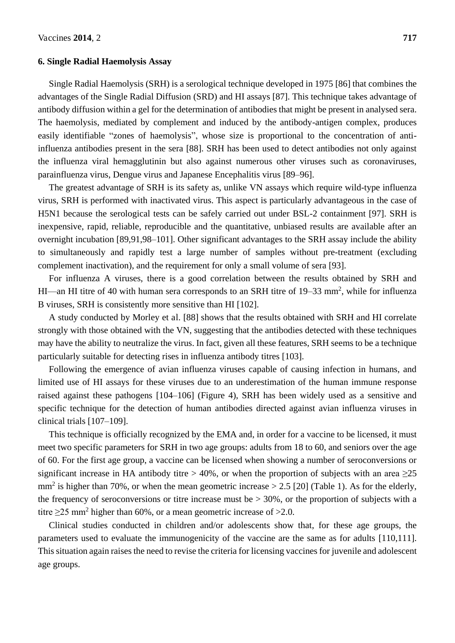#### **6. Single Radial Haemolysis Assay**

Single Radial Haemolysis (SRH) is a serological technique developed in 1975 [86] that combines the advantages of the Single Radial Diffusion (SRD) and HI assays [87]. This technique takes advantage of antibody diffusion within a gel for the determination of antibodies that might be present in analysed sera. The haemolysis, mediated by complement and induced by the antibody-antigen complex, produces easily identifiable "zones of haemolysis", whose size is proportional to the concentration of antiinfluenza antibodies present in the sera [88]. SRH has been used to detect antibodies not only against the influenza viral hemagglutinin but also against numerous other viruses such as coronaviruses, parainfluenza virus, Dengue virus and Japanese Encephalitis virus [89–96].

The greatest advantage of SRH is its safety as, unlike VN assays which require wild-type influenza virus, SRH is performed with inactivated virus. This aspect is particularly advantageous in the case of H5N1 because the serological tests can be safely carried out under BSL-2 containment [97]. SRH is inexpensive, rapid, reliable, reproducible and the quantitative, unbiased results are available after an overnight incubation [89,91,98–101]. Other significant advantages to the SRH assay include the ability to simultaneously and rapidly test a large number of samples without pre-treatment (excluding complement inactivation), and the requirement for only a small volume of sera [93].

For influenza A viruses, there is a good correlation between the results obtained by SRH and HI—an HI titre of 40 with human sera corresponds to an SRH titre of 19–33 mm<sup>2</sup>, while for influenza B viruses, SRH is consistently more sensitive than HI [102].

A study conducted by Morley et al. [88] shows that the results obtained with SRH and HI correlate strongly with those obtained with the VN, suggesting that the antibodies detected with these techniques may have the ability to neutralize the virus. In fact, given all these features, SRH seems to be a technique particularly suitable for detecting rises in influenza antibody titres [103].

Following the emergence of avian influenza viruses capable of causing infection in humans, and limited use of HI assays for these viruses due to an underestimation of the human immune response raised against these pathogens [104–106] (Figure 4), SRH has been widely used as a sensitive and specific technique for the detection of human antibodies directed against avian influenza viruses in clinical trials [107–109].

This technique is officially recognized by the EMA and, in order for a vaccine to be licensed, it must meet two specific parameters for SRH in two age groups: adults from 18 to 60, and seniors over the age of 60. For the first age group, a vaccine can be licensed when showing a number of seroconversions or significant increase in HA antibody titre > 40%, or when the proportion of subjects with an area  $\geq$ 25  $mm<sup>2</sup>$  is higher than 70%, or when the mean geometric increase > 2.5 [20] (Table 1). As for the elderly, the frequency of seroconversions or titre increase must be  $> 30\%$ , or the proportion of subjects with a titre  $\geq$ 25 mm<sup>2</sup> higher than 60%, or a mean geometric increase of  $>$ 2.0.

Clinical studies conducted in children and/or adolescents show that, for these age groups, the parameters used to evaluate the immunogenicity of the vaccine are the same as for adults [110,111]. This situation again raises the need to revise the criteria for licensing vaccines for juvenile and adolescent age groups.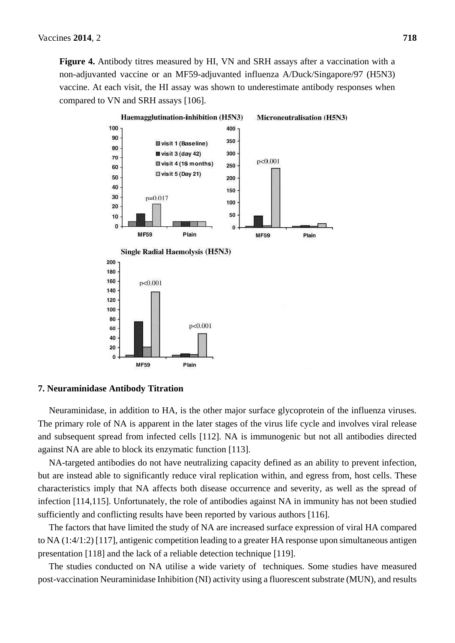**Figure 4.** Antibody titres measured by HI, VN and SRH assays after a vaccination with a non-adjuvanted vaccine or an MF59-adjuvanted influenza A/Duck/Singapore/97 (H5N3) vaccine. At each visit, the HI assay was shown to underestimate antibody responses when compared to VN and SRH assays [106].



#### **7. Neuraminidase Antibody Titration**

Neuraminidase, in addition to HA, is the other major surface glycoprotein of the influenza viruses. The primary role of NA is apparent in the later stages of the virus life cycle and involves viral release and subsequent spread from infected cells [112]. NA is immunogenic but not all antibodies directed against NA are able to block its enzymatic function [113].

NA-targeted antibodies do not have neutralizing capacity defined as an ability to prevent infection, but are instead able to significantly reduce viral replication within, and egress from, host cells. These characteristics imply that NA affects both disease occurrence and severity, as well as the spread of infection [114,115]. Unfortunately, the role of antibodies against NA in immunity has not been studied sufficiently and conflicting results have been reported by various authors [116].

The factors that have limited the study of NA are increased surface expression of viral HA compared to NA (1:4/1:2) [117], antigenic competition leading to a greater HA response upon simultaneous antigen presentation [118] and the lack of a reliable detection technique [119].

The studies conducted on NA utilise a wide variety of techniques. Some studies have measured post-vaccination Neuraminidase Inhibition (NI) activity using a fluorescent substrate (MUN), and results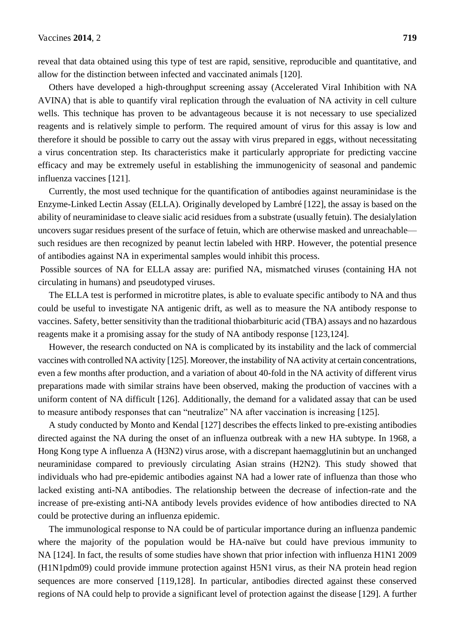reveal that data obtained using this type of test are rapid, sensitive, reproducible and quantitative, and allow for the distinction between infected and vaccinated animals [120].

Others have developed a high-throughput screening assay (Accelerated Viral Inhibition with NA AVINA) that is able to quantify viral replication through the evaluation of NA activity in cell culture wells. This technique has proven to be advantageous because it is not necessary to use specialized reagents and is relatively simple to perform. The required amount of virus for this assay is low and therefore it should be possible to carry out the assay with virus prepared in eggs, without necessitating a virus concentration step. Its characteristics make it particularly appropriate for predicting vaccine efficacy and may be extremely useful in establishing the immunogenicity of seasonal and pandemic influenza vaccines [121].

Currently, the most used technique for the quantification of antibodies against neuraminidase is the Enzyme-Linked Lectin Assay (ELLA). Originally developed by Lambré [122], the assay is based on the ability of neuraminidase to cleave sialic acid residues from a substrate (usually fetuin). The desialylation uncovers sugar residues present of the surface of fetuin, which are otherwise masked and unreachable such residues are then recognized by peanut lectin labeled with HRP. However, the potential presence of antibodies against NA in experimental samples would inhibit this process.

 Possible sources of NA for ELLA assay are: purified NA, mismatched viruses (containing HA not circulating in humans) and pseudotyped viruses.

The ELLA test is performed in microtitre plates, is able to evaluate specific antibody to NA and thus could be useful to investigate NA antigenic drift, as well as to measure the NA antibody response to vaccines. Safety, better sensitivity than the traditional thiobarbituric acid (TBA) assays and no hazardous reagents make it a promising assay for the study of NA antibody response [123,124].

However, the research conducted on NA is complicated by its instability and the lack of commercial vaccines with controlled NA activity [125]. Moreover, the instability of NA activity at certain concentrations, even a few months after production, and a variation of about 40-fold in the NA activity of different virus preparations made with similar strains have been observed, making the production of vaccines with a uniform content of NA difficult [126]. Additionally, the demand for a validated assay that can be used to measure antibody responses that can "neutralize" NA after vaccination is increasing [125].

A study conducted by Monto and Kendal [127] describes the effects linked to pre-existing antibodies directed against the NA during the onset of an influenza outbreak with a new HA subtype. In 1968, a Hong Kong type A influenza A (H3N2) virus arose, with a discrepant haemagglutinin but an unchanged neuraminidase compared to previously circulating Asian strains (H2N2). This study showed that individuals who had pre-epidemic antibodies against NA had a lower rate of influenza than those who lacked existing anti-NA antibodies. The relationship between the decrease of infection-rate and the increase of pre-existing anti-NA antibody levels provides evidence of how antibodies directed to NA could be protective during an influenza epidemic.

The immunological response to NA could be of particular importance during an influenza pandemic where the majority of the population would be HA-naïve but could have previous immunity to NA [124]. In fact, the results of some studies have shown that prior infection with influenza H1N1 2009 (H1N1pdm09) could provide immune protection against H5N1 virus, as their NA protein head region sequences are more conserved [119,128]. In particular, antibodies directed against these conserved regions of NA could help to provide a significant level of protection against the disease [129]. A further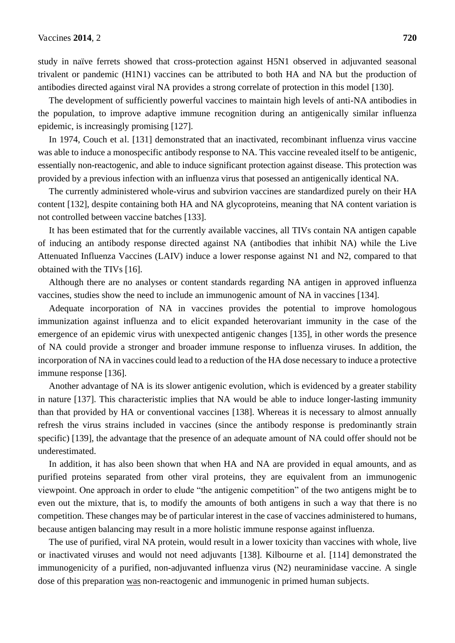study in naïve ferrets showed that cross-protection against H5N1 observed in adjuvanted seasonal trivalent or pandemic (H1N1) vaccines can be attributed to both HA and NA but the production of antibodies directed against viral NA provides a strong correlate of protection in this model [130].

The development of sufficiently powerful vaccines to maintain high levels of anti-NA antibodies in the population, to improve adaptive immune recognition during an antigenically similar influenza epidemic, is increasingly promising [127].

In 1974, Couch et al. [131] demonstrated that an inactivated, recombinant influenza virus vaccine was able to induce a monospecific antibody response to NA. This vaccine revealed itself to be antigenic, essentially non-reactogenic, and able to induce significant protection against disease. This protection was provided by a previous infection with an influenza virus that posessed an antigenically identical NA.

The currently administered whole-virus and subvirion vaccines are standardized purely on their HA content [132], despite containing both HA and NA glycoproteins, meaning that NA content variation is not controlled between vaccine batches [133].

It has been estimated that for the currently available vaccines, all TIVs contain NA antigen capable of inducing an antibody response directed against NA (antibodies that inhibit NA) while the Live Attenuated Influenza Vaccines (LAIV) induce a lower response against N1 and N2, compared to that obtained with the TIVs [16].

Although there are no analyses or content standards regarding NA antigen in approved influenza vaccines, studies show the need to include an immunogenic amount of NA in vaccines [134].

Adequate incorporation of NA in vaccines provides the potential to improve homologous immunization against influenza and to elicit expanded heterovariant immunity in the case of the emergence of an epidemic virus with unexpected antigenic changes [135], in other words the presence of NA could provide a stronger and broader immune response to influenza viruses. In addition, the incorporation of NA in vaccines could lead to a reduction of the HA dose necessary to induce a protective immune response [136].

Another advantage of NA is its slower antigenic evolution, which is evidenced by a greater stability in nature [137]. This characteristic implies that NA would be able to induce longer-lasting immunity than that provided by HA or conventional vaccines [138]. Whereas it is necessary to almost annually refresh the virus strains included in vaccines (since the antibody response is predominantly strain specific) [139], the advantage that the presence of an adequate amount of NA could offer should not be underestimated.

In addition, it has also been shown that when HA and NA are provided in equal amounts, and as purified proteins separated from other viral proteins, they are equivalent from an immunogenic viewpoint. One approach in order to elude "the antigenic competition" of the two antigens might be to even out the mixture, that is, to modify the amounts of both antigens in such a way that there is no competition. These changes may be of particular interest in the case of vaccines administered to humans, because antigen balancing may result in a more holistic immune response against influenza.

The use of purified, viral NA protein, would result in a lower toxicity than vaccines with whole, live or inactivated viruses and would not need adjuvants [138]. Kilbourne et al. [114] demonstrated the immunogenicity of a purified, non-adjuvanted influenza virus (N2) neuraminidase vaccine. A single dose of this preparation was non-reactogenic and immunogenic in primed human subjects.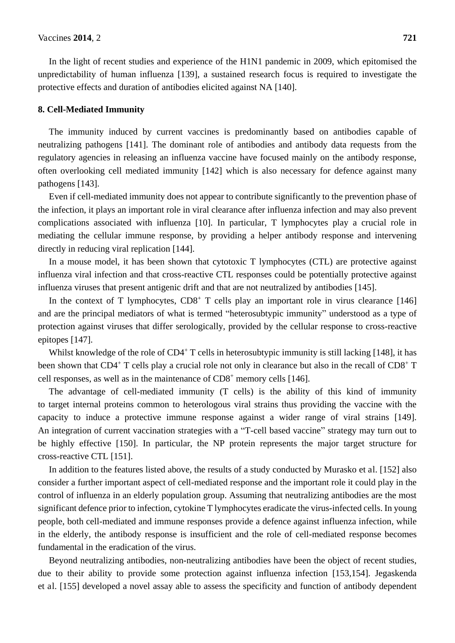In the light of recent studies and experience of the H1N1 pandemic in 2009, which epitomised the unpredictability of human influenza [139], a sustained research focus is required to investigate the protective effects and duration of antibodies elicited against NA [140].

#### **8. Cell-Mediated Immunity**

The immunity induced by current vaccines is predominantly based on antibodies capable of neutralizing pathogens [141]. The dominant role of antibodies and antibody data requests from the regulatory agencies in releasing an influenza vaccine have focused mainly on the antibody response, often overlooking cell mediated immunity [142] which is also necessary for defence against many pathogens [143].

Even if cell-mediated immunity does not appear to contribute significantly to the prevention phase of the infection, it plays an important role in viral clearance after influenza infection and may also prevent complications associated with influenza [10]. In particular, T lymphocytes play a crucial role in mediating the cellular immune response, by providing a helper antibody response and intervening directly in reducing viral replication [144].

In a mouse model, it has been shown that cytotoxic T lymphocytes (CTL) are protective against influenza viral infection and that cross-reactive CTL responses could be potentially protective against influenza viruses that present antigenic drift and that are not neutralized by antibodies [145].

In the context of T lymphocytes,  $CD8<sup>+</sup>$  T cells play an important role in virus clearance [146] and are the principal mediators of what is termed "heterosubtypic immunity" understood as a type of protection against viruses that differ serologically, provided by the cellular response to cross-reactive epitopes [147].

Whilst knowledge of the role of CD4<sup>+</sup> T cells in heterosubtypic immunity is still lacking [148], it has been shown that CD4<sup>+</sup> T cells play a crucial role not only in clearance but also in the recall of CD8<sup>+</sup> T cell responses, as well as in the maintenance of CD8<sup>+</sup> memory cells [146].

The advantage of cell-mediated immunity (T cells) is the ability of this kind of immunity to target internal proteins common to heterologous viral strains thus providing the vaccine with the capacity to induce a protective immune response against a wider range of viral strains [149]. An integration of current vaccination strategies with a "T-cell based vaccine" strategy may turn out to be highly effective [150]. In particular, the NP protein represents the major target structure for cross-reactive CTL [151].

In addition to the features listed above, the results of a study conducted by Murasko et al. [152] also consider a further important aspect of cell-mediated response and the important role it could play in the control of influenza in an elderly population group. Assuming that neutralizing antibodies are the most significant defence prior to infection, cytokine T lymphocytes eradicate the virus-infected cells. In young people, both cell-mediated and immune responses provide a defence against influenza infection, while in the elderly, the antibody response is insufficient and the role of cell-mediated response becomes fundamental in the eradication of the virus.

Beyond neutralizing antibodies, non-neutralizing antibodies have been the object of recent studies, due to their ability to provide some protection against influenza infection [153,154]. Jegaskenda et al. [155] developed a novel assay able to assess the specificity and function of antibody dependent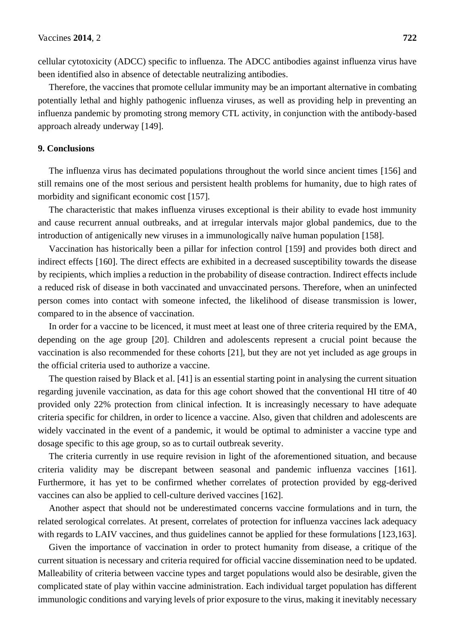cellular cytotoxicity (ADCC) specific to influenza. The ADCC antibodies against influenza virus have been identified also in absence of detectable neutralizing antibodies.

Therefore, the vaccines that promote cellular immunity may be an important alternative in combating potentially lethal and highly pathogenic influenza viruses, as well as providing help in preventing an influenza pandemic by promoting strong memory CTL activity, in conjunction with the antibody-based approach already underway [149].

#### **9. Conclusions**

The influenza virus has decimated populations throughout the world since ancient times [156] and still remains one of the most serious and persistent health problems for humanity, due to high rates of morbidity and significant economic cost [157].

The characteristic that makes influenza viruses exceptional is their ability to evade host immunity and cause recurrent annual outbreaks, and at irregular intervals major global pandemics, due to the introduction of antigenically new viruses in a immunologically naïve human population [158].

Vaccination has historically been a pillar for infection control [159] and provides both direct and indirect effects [160]. The direct effects are exhibited in a decreased susceptibility towards the disease by recipients, which implies a reduction in the probability of disease contraction. Indirect effects include a reduced risk of disease in both vaccinated and unvaccinated persons. Therefore, when an uninfected person comes into contact with someone infected, the likelihood of disease transmission is lower, compared to in the absence of vaccination.

In order for a vaccine to be licenced, it must meet at least one of three criteria required by the EMA, depending on the age group [20]. Children and adolescents represent a crucial point because the vaccination is also recommended for these cohorts [21], but they are not yet included as age groups in the official criteria used to authorize a vaccine.

The question raised by Black et al. [41] is an essential starting point in analysing the current situation regarding juvenile vaccination, as data for this age cohort showed that the conventional HI titre of 40 provided only 22% protection from clinical infection. It is increasingly necessary to have adequate criteria specific for children, in order to licence a vaccine. Also, given that children and adolescents are widely vaccinated in the event of a pandemic, it would be optimal to administer a vaccine type and dosage specific to this age group, so as to curtail outbreak severity.

The criteria currently in use require revision in light of the aforementioned situation, and because criteria validity may be discrepant between seasonal and pandemic influenza vaccines [161]. Furthermore, it has yet to be confirmed whether correlates of protection provided by egg-derived vaccines can also be applied to cell-culture derived vaccines [162].

Another aspect that should not be underestimated concerns vaccine formulations and in turn, the related serological correlates. At present, correlates of protection for influenza vaccines lack adequacy with regards to LAIV vaccines, and thus guidelines cannot be applied for these formulations [123,163].

Given the importance of vaccination in order to protect humanity from disease, a critique of the current situation is necessary and criteria required for official vaccine dissemination need to be updated. Malleability of criteria between vaccine types and target populations would also be desirable, given the complicated state of play within vaccine administration. Each individual target population has different immunologic conditions and varying levels of prior exposure to the virus, making it inevitably necessary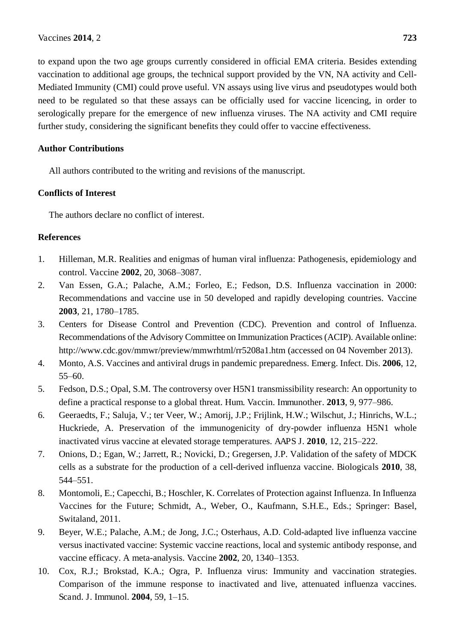to expand upon the two age groups currently considered in official EMA criteria. Besides extending vaccination to additional age groups, the technical support provided by the VN, NA activity and Cell-Mediated Immunity (CMI) could prove useful. VN assays using live virus and pseudotypes would both need to be regulated so that these assays can be officially used for vaccine licencing, in order to serologically prepare for the emergence of new influenza viruses. The NA activity and CMI require further study, considering the significant benefits they could offer to vaccine effectiveness.

#### **Author Contributions**

All authors contributed to the writing and revisions of the manuscript.

#### **Conflicts of Interest**

The authors declare no conflict of interest.

#### **References**

- 1. Hilleman, M.R. Realities and enigmas of human viral influenza: Pathogenesis, epidemiology and control. Vaccine **2002**, 20, 3068–3087.
- 2. Van Essen, G.A.; Palache, A.M.; Forleo, E.; Fedson, D.S. Influenza vaccination in 2000: Recommendations and vaccine use in 50 developed and rapidly developing countries. Vaccine **2003**, 21, 1780–1785.
- 3. Centers for Disease Control and Prevention (CDC). Prevention and control of Influenza. Recommendations of the Advisory Committee on Immunization Practices (ACIP). Available online: http://www.cdc.gov/mmwr/preview/mmwrhtml/rr5208a1.htm (accessed on 04 November 2013).
- 4. Monto, A.S. Vaccines and antiviral drugs in pandemic preparedness. Emerg. Infect. Dis. **2006**, 12, 55–60.
- 5. Fedson, D.S.; Opal, S.M. The controversy over H5N1 transmissibility research: An opportunity to define a practical response to a global threat. Hum. Vaccin. Immunother. **2013**, 9, 977–986.
- 6. Geeraedts, F.; Saluja, V.; ter Veer, W.; Amorij, J.P.; Frijlink, H.W.; Wilschut, J.; Hinrichs, W.L.; Huckriede, A. Preservation of the immunogenicity of dry-powder influenza H5N1 whole inactivated virus vaccine at elevated storage temperatures. AAPS J. **2010**, 12, 215–222.
- 7. Onions, D.; Egan, W.; Jarrett, R.; Novicki, D.; Gregersen, J.P. Validation of the safety of MDCK cells as a substrate for the production of a cell-derived influenza vaccine. Biologicals **2010**, 38, 544–551.
- 8. Montomoli, E.; Capecchi, B.; Hoschler, K. Correlates of Protection against Influenza. In Influenza Vaccines for the Future; Schmidt, A., Weber, O., Kaufmann, S.H.E., Eds.; Springer: Basel, Switaland, 2011.
- 9. Beyer, W.E.; Palache, A.M.; de Jong, J.C.; Osterhaus, A.D. Cold-adapted live influenza vaccine versus inactivated vaccine: Systemic vaccine reactions, local and systemic antibody response, and vaccine efficacy. A meta-analysis. Vaccine **2002**, 20, 1340–1353.
- 10. Cox, R.J.; Brokstad, K.A.; Ogra, P. Influenza virus: Immunity and vaccination strategies. Comparison of the immune response to inactivated and live, attenuated influenza vaccines. Scand. J. Immunol. **2004**, 59, 1–15.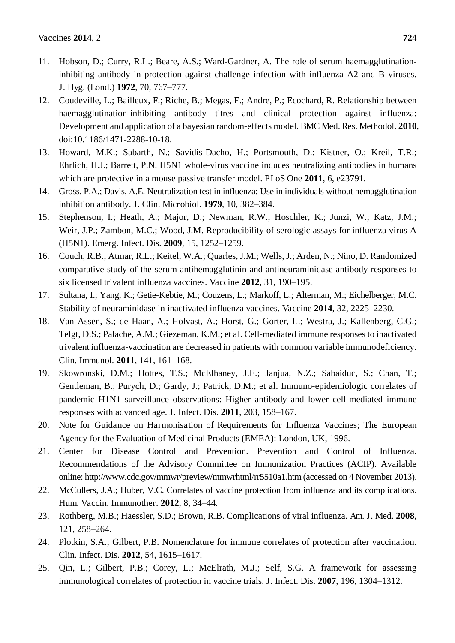- 11. Hobson, D.; Curry, R.L.; Beare, A.S.; Ward-Gardner, A. The role of serum haemagglutinationinhibiting antibody in protection against challenge infection with influenza A2 and B viruses. J. Hyg. (Lond.) **1972**, 70, 767–777.
- 12. Coudeville, L.; Bailleux, F.; Riche, B.; Megas, F.; Andre, P.; Ecochard, R. Relationship between haemagglutination-inhibiting antibody titres and clinical protection against influenza: Development and application of a bayesian random-effects model. BMC Med. Res. Methodol. **2010**, doi:10.1186/1471-2288-10-18.
- 13. Howard, M.K.; Sabarth, N.; Savidis-Dacho, H.; Portsmouth, D.; Kistner, O.; Kreil, T.R.; Ehrlich, H.J.; Barrett, P.N. H5N1 whole-virus vaccine induces neutralizing antibodies in humans which are protective in a mouse passive transfer model. PLoS One **2011**, 6, e23791.
- 14. Gross, P.A.; Davis, A.E. Neutralization test in influenza: Use in individuals without hemagglutination inhibition antibody. J. Clin. Microbiol. **1979**, 10, 382–384.
- 15. Stephenson, I.; Heath, A.; Major, D.; Newman, R.W.; Hoschler, K.; Junzi, W.; Katz, J.M.; Weir, J.P.; Zambon, M.C.; Wood, J.M. Reproducibility of serologic assays for influenza virus A (H5N1). Emerg. Infect. Dis. **2009**, 15, 1252–1259.
- 16. Couch, R.B.; Atmar, R.L.; Keitel, W.A.; Quarles, J.M.; Wells, J.; Arden, N.; Nino, D. Randomized comparative study of the serum antihemagglutinin and antineuraminidase antibody responses to six licensed trivalent influenza vaccines. Vaccine **2012**, 31, 190–195.
- 17. Sultana, I.; Yang, K.; Getie-Kebtie, M.; Couzens, L.; Markoff, L.; Alterman, M.; Eichelberger, M.C. Stability of neuraminidase in inactivated influenza vaccines. Vaccine **2014**, 32, 2225–2230.
- 18. Van Assen, S.; de Haan, A.; Holvast, A.; Horst, G.; Gorter, L.; Westra, J.; Kallenberg, C.G.; Telgt, D.S.; Palache, A.M.; Giezeman, K.M.; et al. Cell-mediated immune responses to inactivated trivalent influenza-vaccination are decreased in patients with common variable immunodeficiency. Clin. Immunol. **2011**, 141, 161–168.
- 19. Skowronski, D.M.; Hottes, T.S.; McElhaney, J.E.; Janjua, N.Z.; Sabaiduc, S.; Chan, T.; Gentleman, B.; Purych, D.; Gardy, J.; Patrick, D.M.; et al. Immuno-epidemiologic correlates of pandemic H1N1 surveillance observations: Higher antibody and lower cell-mediated immune responses with advanced age. J. Infect. Dis. **2011**, 203, 158–167.
- 20. Note for Guidance on Harmonisation of Requirements for Influenza Vaccines; The European Agency for the Evaluation of Medicinal Products (EMEA): London, UK, 1996.
- 21. Center for Disease Control and Prevention. Prevention and Control of Influenza. Recommendations of the Advisory Committee on Immunization Practices (ACIP). Available online: http://www.cdc.gov/mmwr/preview/mmwrhtml/rr5510a1.htm (accessed on 4 November 2013).
- 22. McCullers, J.A.; Huber, V.C. Correlates of vaccine protection from influenza and its complications. Hum. Vaccin. Immunother. **2012**, 8, 34–44.
- 23. Rothberg, M.B.; Haessler, S.D.; Brown, R.B. Complications of viral influenza. Am. J. Med. **2008**, 121, 258–264.
- 24. Plotkin, S.A.; Gilbert, P.B. Nomenclature for immune correlates of protection after vaccination. Clin. Infect. Dis. **2012**, 54, 1615–1617.
- 25. Qin, L.; Gilbert, P.B.; Corey, L.; McElrath, M.J.; Self, S.G. A framework for assessing immunological correlates of protection in vaccine trials. J. Infect. Dis. **2007**, 196, 1304–1312.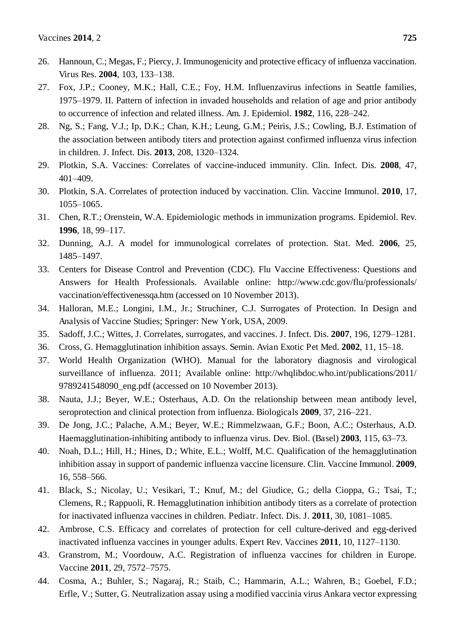- 26. Hannoun, C.; Megas, F.; Piercy, J. Immunogenicity and protective efficacy of influenza vaccination. Virus Res. **2004**, 103, 133–138.
- 27. Fox, J.P.; Cooney, M.K.; Hall, C.E.; Foy, H.M. Influenzavirus infections in Seattle families, 1975–1979. II. Pattern of infection in invaded households and relation of age and prior antibody to occurrence of infection and related illness. Am. J. Epidemiol. **1982**, 116, 228–242.
- 28. Ng, S.; Fang, V.J.; Ip, D.K.; Chan, K.H.; Leung, G.M.; Peiris, J.S.; Cowling, B.J. Estimation of the association between antibody titers and protection against confirmed influenza virus infection in children. J. Infect. Dis. **2013**, 208, 1320–1324.
- 29. Plotkin, S.A. Vaccines: Correlates of vaccine-induced immunity. Clin. Infect. Dis. **2008**, 47, 401–409.
- 30. Plotkin, S.A. Correlates of protection induced by vaccination. Clin. Vaccine Immunol. **2010**, 17, 1055–1065.
- 31. Chen, R.T.; Orenstein, W.A. Epidemiologic methods in immunization programs. Epidemiol. Rev. **1996**, 18, 99–117.
- 32. Dunning, A.J. A model for immunological correlates of protection. Stat. Med. **2006**, 25, 1485–1497.
- 33. Centers for Disease Control and Prevention (CDC). Flu Vaccine Effectiveness: Questions and Answers for Health Professionals. Available online: http://www.cdc.gov/flu/professionals/ vaccination/effectivenessqa.htm (accessed on 10 November 2013).
- 34. Halloran, M.E.; Longini, I.M., Jr.; Struchiner, C.J. Surrogates of Protection. In Design and Analysis of Vaccine Studies; Springer: New York, USA, 2009.
- 35. Sadoff, J.C.; Wittes, J. Correlates, surrogates, and vaccines. J. Infect. Dis. **2007**, 196, 1279–1281.
- 36. Cross, G. Hemagglutination inhibition assays. Semin. Avian Exotic Pet Med. **2002**, 11, 15–18.
- 37. World Health Organization (WHO). Manual for the laboratory diagnosis and virological surveillance of influenza. 2011; Available online: http://whqlibdoc.who.int/publications/2011/ 9789241548090\_eng.pdf (accessed on 10 November 2013).
- 38. Nauta, J.J.; Beyer, W.E.; Osterhaus, A.D. On the relationship between mean antibody level, seroprotection and clinical protection from influenza. Biologicals **2009**, 37, 216–221.
- 39. De Jong, J.C.; Palache, A.M.; Beyer, W.E.; Rimmelzwaan, G.F.; Boon, A.C.; Osterhaus, A.D. Haemagglutination-inhibiting antibody to influenza virus. Dev. Biol. (Basel) **2003**, 115, 63–73.
- 40. Noah, D.L.; Hill, H.; Hines, D.; White, E.L.; Wolff, M.C. Qualification of the hemagglutination inhibition assay in support of pandemic influenza vaccine licensure. Clin. Vaccine Immunol. **2009**, 16, 558–566.
- 41. Black, S.; Nicolay, U.; Vesikari, T.; Knuf, M.; del Giudice, G.; della Cioppa, G.; Tsai, T.; Clemens, R.; Rappuoli, R. Hemagglutination inhibition antibody titers as a correlate of protection for inactivated influenza vaccines in children. Pediatr. Infect. Dis. J. **2011**, 30, 1081–1085.
- 42. Ambrose, C.S. Efficacy and correlates of protection for cell culture-derived and egg-derived inactivated influenza vaccines in younger adults. Expert Rev. Vaccines **2011**, 10, 1127–1130.
- 43. Granstrom, M.; Voordouw, A.C. Registration of influenza vaccines for children in Europe. Vaccine **2011**, 29, 7572–7575.
- 44. Cosma, A.; Buhler, S.; Nagaraj, R.; Staib, C.; Hammarin, A.L.; Wahren, B.; Goebel, F.D.; Erfle, V.; Sutter, G. Neutralization assay using a modified vaccinia virus Ankara vector expressing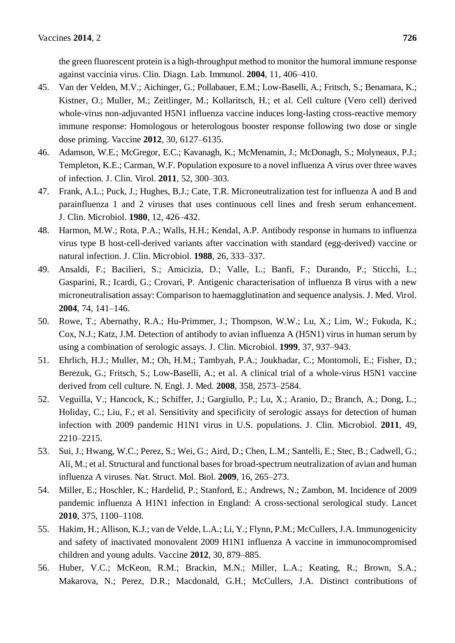the green fluorescent protein is a high-throughput method to monitor the humoral immune response against vaccinia virus. Clin. Diagn. Lab. Immunol. **2004**, 11, 406–410.

- 45. Van der Velden, M.V.; Aichinger, G.; Pollabauer, E.M.; Low-Baselli, A.; Fritsch, S.; Benamara, K.; Kistner, O.; Muller, M.; Zeitlinger, M.; Kollaritsch, H.; et al. Cell culture (Vero cell) derived whole-virus non-adjuvanted H5N1 influenza vaccine induces long-lasting cross-reactive memory immune response: Homologous or heterologous booster response following two dose or single dose priming. Vaccine **2012**, 30, 6127–6135.
- 46. Adamson, W.E.; McGregor, E.C.; Kavanagh, K.; McMenamin, J.; McDonagh, S.; Molyneaux, P.J.; Templeton, K.E.; Carman, W.F. Population exposure to a novel influenza A virus over three waves of infection. J. Clin. Virol. **2011**, 52, 300–303.
- 47. Frank, A.L.; Puck, J.; Hughes, B.J.; Cate, T.R. Microneutralization test for influenza A and B and parainfluenza 1 and 2 viruses that uses continuous cell lines and fresh serum enhancement. J. Clin. Microbiol. **1980**, 12, 426–432.
- 48. Harmon, M.W.; Rota, P.A.; Walls, H.H.; Kendal, A.P. Antibody response in humans to influenza virus type B host-cell-derived variants after vaccination with standard (egg-derived) vaccine or natural infection. J. Clin. Microbiol. **1988**, 26, 333–337.
- 49. Ansaldi, F.; Bacilieri, S.; Amicizia, D.; Valle, L.; Banfi, F.; Durando, P.; Sticchi, L.; Gasparini, R.; Icardi, G.; Crovari, P. Antigenic characterisation of influenza B virus with a new microneutralisation assay: Comparison to haemagglutination and sequence analysis. J. Med. Virol. **2004**, 74, 141–146.
- 50. Rowe, T.; Abernathy, R.A.; Hu-Primmer, J.; Thompson, W.W.; Lu, X.; Lim, W.; Fukuda, K.; Cox, N.J.; Katz, J.M. Detection of antibody to avian influenza A (H5N1) virus in human serum by using a combination of serologic assays. J. Clin. Microbiol. **1999**, 37, 937–943.
- 51. Ehrlich, H.J.; Muller, M.; Oh, H.M.; Tambyah, P.A.; Joukhadar, C.; Montomoli, E.; Fisher, D.; Berezuk, G.; Fritsch, S.; Low-Baselli, A.; et al. A clinical trial of a whole-virus H5N1 vaccine derived from cell culture. N. Engl. J. Med. **2008**, 358, 2573–2584.
- 52. Veguilla, V.; Hancock, K.; Schiffer, J.; Gargiullo, P.; Lu, X.; Aranio, D.; Branch, A.; Dong, L.; Holiday, C.; Liu, F.; et al. Sensitivity and specificity of serologic assays for detection of human infection with 2009 pandemic H1N1 virus in U.S. populations. J. Clin. Microbiol. **2011**, 49, 2210–2215.
- 53. Sui, J.; Hwang, W.C.; Perez, S.; Wei, G.; Aird, D.; Chen, L.M.; Santelli, E.; Stec, B.; Cadwell, G.; Ali, M.; et al. Structural and functional bases for broad-spectrum neutralization of avian and human influenza A viruses. Nat. Struct. Mol. Biol. **2009**, 16, 265–273.
- 54. Miller, E.; Hoschler, K.; Hardelid, P.; Stanford, E.; Andrews, N.; Zambon, M. Incidence of 2009 pandemic influenza A H1N1 infection in England: A cross-sectional serological study. Lancet **2010**, 375, 1100–1108.
- 55. Hakim, H.; Allison, K.J.; van de Velde, L.A.; Li, Y.; Flynn, P.M.; McCullers, J.A. Immunogenicity and safety of inactivated monovalent 2009 H1N1 influenza A vaccine in immunocompromised children and young adults. Vaccine **2012**, 30, 879–885.
- 56. Huber, V.C.; McKeon, R.M.; Brackin, M.N.; Miller, L.A.; Keating, R.; Brown, S.A.; Makarova, N.; Perez, D.R.; Macdonald, G.H.; McCullers, J.A. Distinct contributions of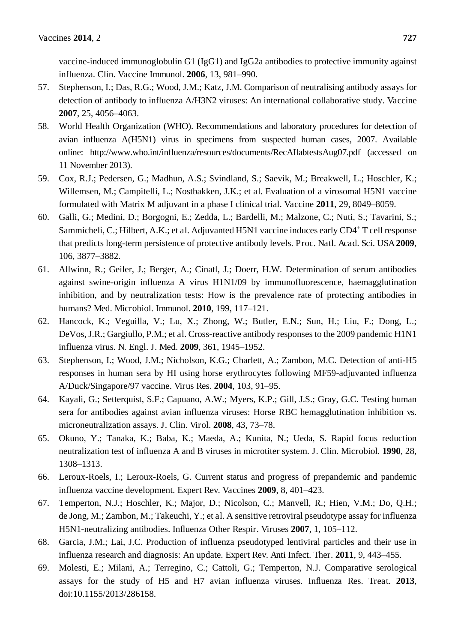vaccine-induced immunoglobulin G1 (IgG1) and IgG2a antibodies to protective immunity against influenza. Clin. Vaccine Immunol. **2006**, 13, 981–990.

- 57. Stephenson, I.; Das, R.G.; Wood, J.M.; Katz, J.M. Comparison of neutralising antibody assays for detection of antibody to influenza A/H3N2 viruses: An international collaborative study. Vaccine **2007**, 25, 4056–4063.
- 58. World Health Organization (WHO). Recommendations and laboratory procedures for detection of avian influenza A(H5N1) virus in specimens from suspected human cases, 2007. Available online: http://www.who.int/influenza/resources/documents/RecAIlabtestsAug07.pdf (accessed on 11 November 2013).
- 59. Cox, R.J.; Pedersen, G.; Madhun, A.S.; Svindland, S.; Saevik, M.; Breakwell, L.; Hoschler, K.; Willemsen, M.; Campitelli, L.; Nostbakken, J.K.; et al. Evaluation of a virosomal H5N1 vaccine formulated with Matrix M adjuvant in a phase I clinical trial. Vaccine **2011**, 29, 8049–8059.
- 60. Galli, G.; Medini, D.; Borgogni, E.; Zedda, L.; Bardelli, M.; Malzone, C.; Nuti, S.; Tavarini, S.; Sammicheli, C.; Hilbert, A.K.; et al. Adjuvanted H5N1 vaccine induces early CD4+ T cell response that predicts long-term persistence of protective antibody levels. Proc. Natl. Acad. Sci. USA **2009**, 106, 3877–3882.
- 61. Allwinn, R.; Geiler, J.; Berger, A.; Cinatl, J.; Doerr, H.W. Determination of serum antibodies against swine-origin influenza A virus H1N1/09 by immunofluorescence, haemagglutination inhibition, and by neutralization tests: How is the prevalence rate of protecting antibodies in humans? Med. Microbiol. Immunol. **2010**, 199, 117–121.
- 62. Hancock, K.; Veguilla, V.; Lu, X.; Zhong, W.; Butler, E.N.; Sun, H.; Liu, F.; Dong, L.; DeVos, J.R.; Gargiullo, P.M.; et al. Cross-reactive antibody responses to the 2009 pandemic H1N1 influenza virus. N. Engl. J. Med. **2009**, 361, 1945–1952.
- 63. Stephenson, I.; Wood, J.M.; Nicholson, K.G.; Charlett, A.; Zambon, M.C. Detection of anti-H5 responses in human sera by HI using horse erythrocytes following MF59-adjuvanted influenza A/Duck/Singapore/97 vaccine. Virus Res. **2004**, 103, 91–95.
- 64. Kayali, G.; Setterquist, S.F.; Capuano, A.W.; Myers, K.P.; Gill, J.S.; Gray, G.C. Testing human sera for antibodies against avian influenza viruses: Horse RBC hemagglutination inhibition vs. microneutralization assays. J. Clin. Virol. **2008**, 43, 73–78.
- 65. Okuno, Y.; Tanaka, K.; Baba, K.; Maeda, A.; Kunita, N.; Ueda, S. Rapid focus reduction neutralization test of influenza A and B viruses in microtiter system. J. Clin. Microbiol. **1990**, 28, 1308–1313.
- 66. Leroux-Roels, I.; Leroux-Roels, G. Current status and progress of prepandemic and pandemic influenza vaccine development. Expert Rev. Vaccines **2009**, 8, 401–423.
- 67. Temperton, N.J.; Hoschler, K.; Major, D.; Nicolson, C.; Manvell, R.; Hien, V.M.; Do, Q.H.; de Jong, M.; Zambon, M.; Takeuchi, Y.; et al. A sensitive retroviral pseudotype assay for influenza H5N1-neutralizing antibodies. Influenza Other Respir. Viruses **2007**, 1, 105–112.
- 68. Garcia, J.M.; Lai, J.C. Production of influenza pseudotyped lentiviral particles and their use in influenza research and diagnosis: An update. Expert Rev. Anti Infect. Ther. **2011**, 9, 443–455.
- 69. Molesti, E.; Milani, A.; Terregino, C.; Cattoli, G.; Temperton, N.J. Comparative serological assays for the study of H5 and H7 avian influenza viruses. Influenza Res. Treat. **2013**, doi:10.1155/2013/286158.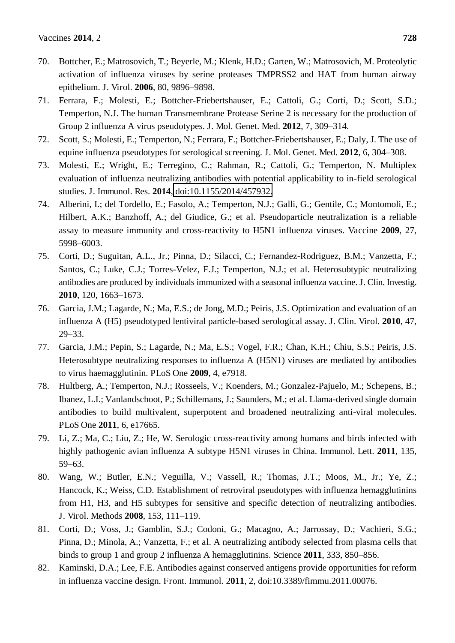- 70. Bottcher, E.; Matrosovich, T.; Beyerle, M.; Klenk, H.D.; Garten, W.; Matrosovich, M. Proteolytic activation of influenza viruses by serine proteases TMPRSS2 and HAT from human airway epithelium. J. Virol. **2006**, 80, 9896–9898.
- 71. Ferrara, F.; Molesti, E.; Bottcher-Friebertshauser, E.; Cattoli, G.; Corti, D.; Scott, S.D.; Temperton, N.J. The human Transmembrane Protease Serine 2 is necessary for the production of Group 2 influenza A virus pseudotypes. J. Mol. Genet. Med. **2012**, 7, 309–314.
- 72. Scott, S.; Molesti, E.; Temperton, N.; Ferrara, F.; Bottcher-Friebertshauser, E.; Daly, J. The use of equine influenza pseudotypes for serological screening. J. Mol. Genet. Med. **2012**, 6, 304–308.
- 73. Molesti, E.; Wright, E.; Terregino, C.; Rahman, R.; Cattoli, G.; Temperton, N. Multiplex evaluation of influenza neutralizing antibodies with potential applicability to in-field serological studies. J. Immunol. Res. **2014**, [doi:10.1155/2014/457932.](http://dx.doi.org/10.1155/2014/457932)
- 74. Alberini, I.; del Tordello, E.; Fasolo, A.; Temperton, N.J.; Galli, G.; Gentile, C.; Montomoli, E.; Hilbert, A.K.; Banzhoff, A.; del Giudice, G.; et al. Pseudoparticle neutralization is a reliable assay to measure immunity and cross-reactivity to H5N1 influenza viruses. Vaccine **2009**, 27, 5998–6003.
- 75. Corti, D.; Suguitan, A.L., Jr.; Pinna, D.; Silacci, C.; Fernandez-Rodriguez, B.M.; Vanzetta, F.; Santos, C.; Luke, C.J.; Torres-Velez, F.J.; Temperton, N.J.; et al. Heterosubtypic neutralizing antibodies are produced by individuals immunized with a seasonal influenza vaccine. J. Clin. Investig. **2010**, 120, 1663–1673.
- 76. Garcia, J.M.; Lagarde, N.; Ma, E.S.; de Jong, M.D.; Peiris, J.S. Optimization and evaluation of an influenza A (H5) pseudotyped lentiviral particle-based serological assay. J. Clin. Virol. **2010**, 47, 29–33.
- 77. Garcia, J.M.; Pepin, S.; Lagarde, N.; Ma, E.S.; Vogel, F.R.; Chan, K.H.; Chiu, S.S.; Peiris, J.S. Heterosubtype neutralizing responses to influenza A (H5N1) viruses are mediated by antibodies to virus haemagglutinin. PLoS One **2009**, 4, e7918.
- 78. Hultberg, A.; Temperton, N.J.; Rosseels, V.; Koenders, M.; Gonzalez-Pajuelo, M.; Schepens, B.; Ibanez, L.I.; Vanlandschoot, P.; Schillemans, J.; Saunders, M.; et al. Llama-derived single domain antibodies to build multivalent, superpotent and broadened neutralizing anti-viral molecules. PLoS One **2011**, 6, e17665.
- 79. Li, Z.; Ma, C.; Liu, Z.; He, W. Serologic cross-reactivity among humans and birds infected with highly pathogenic avian influenza A subtype H5N1 viruses in China. Immunol. Lett. **2011**, 135, 59–63.
- 80. Wang, W.; Butler, E.N.; Veguilla, V.; Vassell, R.; Thomas, J.T.; Moos, M., Jr.; Ye, Z.; Hancock, K.; Weiss, C.D. Establishment of retroviral pseudotypes with influenza hemagglutinins from H1, H3, and H5 subtypes for sensitive and specific detection of neutralizing antibodies. J. Virol. Methods **2008**, 153, 111–119.
- 81. Corti, D.; Voss, J.; Gamblin, S.J.; Codoni, G.; Macagno, A.; Jarrossay, D.; Vachieri, S.G.; Pinna, D.; Minola, A.; Vanzetta, F.; et al. A neutralizing antibody selected from plasma cells that binds to group 1 and group 2 influenza A hemagglutinins. Science **2011**, 333, 850–856.
- 82. Kaminski, D.A.; Lee, F.E. Antibodies against conserved antigens provide opportunities for reform in influenza vaccine design. Front. Immunol. 2**011**, 2, doi:10.3389/fimmu.2011.00076.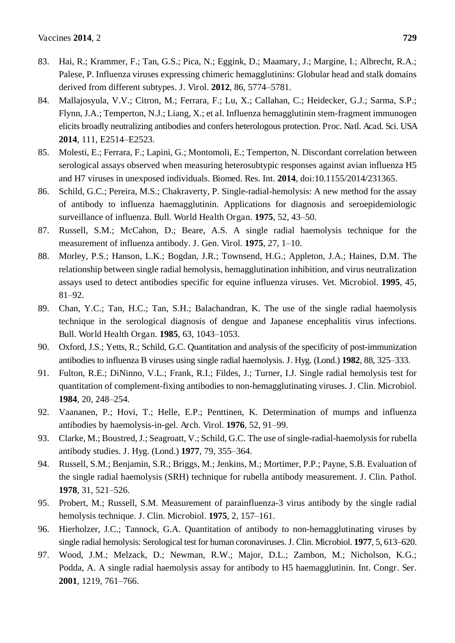- 83. Hai, R.; Krammer, F.; Tan, G.S.; Pica, N.; Eggink, D.; Maamary, J.; Margine, I.; Albrecht, R.A.; Palese, P. Influenza viruses expressing chimeric hemagglutinins: Globular head and stalk domains derived from different subtypes. J. Virol. **2012**, 86, 5774–5781.
- 84. Mallajosyula, V.V.; Citron, M.; Ferrara, F.; Lu, X.; Callahan, C.; Heidecker, G.J.; Sarma, S.P.; Flynn, J.A.; Temperton, N.J.; Liang, X.; et al. Influenza hemagglutinin stem-fragment immunogen elicits broadly neutralizing antibodies and confers heterologous protection. Proc. Natl. Acad. Sci. USA **2014**, 111, E2514–E2523.
- 85. Molesti, E.; Ferrara, F.; Lapini, G.; Montomoli, E.; Temperton, N. Discordant correlation between serological assays observed when measuring heterosubtypic responses against avian influenza H5 and H7 viruses in unexposed individuals. Biomed. Res. Int. **2014**, doi:10.1155/2014/231365.
- 86. Schild, G.C.; Pereira, M.S.; Chakraverty, P. Single-radial-hemolysis: A new method for the assay of antibody to influenza haemagglutinin. Applications for diagnosis and seroepidemiologic surveillance of influenza. Bull. World Health Organ. **1975**, 52, 43–50.
- 87. Russell, S.M.; McCahon, D.; Beare, A.S. A single radial haemolysis technique for the measurement of influenza antibody. J. Gen. Virol. **1975**, 27, 1–10.
- 88. Morley, P.S.; Hanson, L.K.; Bogdan, J.R.; Townsend, H.G.; Appleton, J.A.; Haines, D.M. The relationship between single radial hemolysis, hemagglutination inhibition, and virus neutralization assays used to detect antibodies specific for equine influenza viruses. Vet. Microbiol. **1995**, 45, 81–92.
- 89. Chan, Y.C.; Tan, H.C.; Tan, S.H.; Balachandran, K. The use of the single radial haemolysis technique in the serological diagnosis of dengue and Japanese encephalitis virus infections. Bull. World Health Organ. **1985**, 63, 1043–1053.
- 90. Oxford, J.S.; Yetts, R.; Schild, G.C. Quantitation and analysis of the specificity of post-immunization antibodies to influenza B viruses using single radial haemolysis. J. Hyg. (Lond.) **1982**, 88, 325–333.
- 91. Fulton, R.E.; DiNinno, V.L.; Frank, R.I.; Fildes, J.; Turner, I.J. Single radial hemolysis test for quantitation of complement-fixing antibodies to non-hemagglutinating viruses. J. Clin. Microbiol. **1984**, 20, 248–254.
- 92. Vaananen, P.; Hovi, T.; Helle, E.P.; Penttinen, K. Determination of mumps and influenza antibodies by haemolysis-in-gel. Arch. Virol. **1976**, 52, 91–99.
- 93. Clarke, M.; Boustred, J.; Seagroatt, V.; Schild, G.C. The use of single-radial-haemolysis for rubella antibody studies. J. Hyg. (Lond.) **1977**, 79, 355–364.
- 94. Russell, S.M.; Benjamin, S.R.; Briggs, M.; Jenkins, M.; Mortimer, P.P.; Payne, S.B. Evaluation of the single radial haemolysis (SRH) technique for rubella antibody measurement. J. Clin. Pathol. **1978**, 31, 521–526.
- 95. Probert, M.; Russell, S.M. Measurement of parainfluenza-3 virus antibody by the single radial hemolysis technique. J. Clin. Microbiol. **1975**, 2, 157–161.
- 96. Hierholzer, J.C.; Tannock, G.A. Quantitation of antibody to non-hemagglutinating viruses by single radial hemolysis: Serological test for human coronaviruses. J. Clin. Microbiol. **1977**, 5, 613–620.
- 97. Wood, J.M.; Melzack, D.; Newman, R.W.; Major, D.L.; Zambon, M.; Nicholson, K.G.; Podda, A. A single radial haemolysis assay for antibody to H5 haemagglutinin. Int. Congr. Ser. **2001**, 1219, 761–766.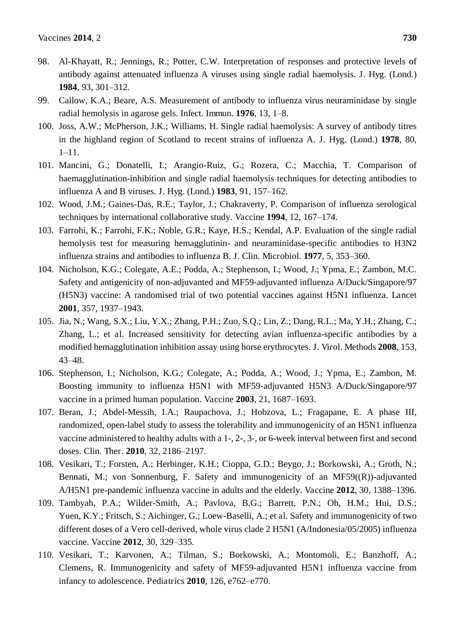- 98. Al-Khayatt, R.; Jennings, R.; Potter, C.W. Interpretation of responses and protective levels of antibody against attenuated influenza A viruses using single radial haemolysis. J. Hyg. (Lond.) **1984**, 93, 301–312.
- 99. Callow, K.A.; Beare, A.S. Measurement of antibody to influenza virus neuraminidase by single radial hemolysis in agarose gels. Infect. Immun. **1976**, 13, 1–8.
- 100. Joss, A.W.; McPherson, J.K.; Williams, H. Single radial haemolysis: A survey of antibody titres in the highland region of Scotland to recent strains of influenza A. J. Hyg. (Lond.) **1978**, 80, 1–11.
- 101. Mancini, G.; Donatelli, I.; Arangio-Ruiz, G.; Rozera, C.; Macchia, T. Comparison of haemagglutination-inhibition and single radial haemolysis techniques for detecting antibodies to influenza A and B viruses. J. Hyg. (Lond.) **1983**, 91, 157–162.
- 102. Wood, J.M.; Gaines-Das, R.E.; Taylor, J.; Chakraverty, P. Comparison of influenza serological techniques by international collaborative study. Vaccine **1994**, 12, 167–174.
- 103. Farrohi, K.; Farrohi, F.K.; Noble, G.R.; Kaye, H.S.; Kendal, A.P. Evaluation of the single radial hemolysis test for measuring hemagglutinin- and neuraminidase-specific antibodies to H3N2 influenza strains and antibodies to influenza B. J. Clin. Microbiol. **1977**, 5, 353–360.
- 104. Nicholson, K.G.; Colegate, A.E.; Podda, A.; Stephenson, I.; Wood, J.; Ypma, E.; Zambon, M.C. Safety and antigenicity of non-adjuvanted and MF59-adjuvanted influenza A/Duck/Singapore/97 (H5N3) vaccine: A randomised trial of two potential vaccines against H5N1 influenza. Lancet **2001**, 357, 1937–1943.
- 105. Jia, N.; Wang, S.X.; Liu, Y.X.; Zhang, P.H.; Zuo, S.Q.; Lin, Z.; Dang, R.L.; Ma, Y.H.; Zhang, C.; Zhang, L.; et al. Increased sensitivity for detecting avian influenza-specific antibodies by a modified hemagglutination inhibition assay using horse erythrocytes. J. Virol. Methods **2008**, 153, 43–48.
- 106. Stephenson, I.; Nicholson, K.G.; Colegate, A.; Podda, A.; Wood, J.; Ypma, E.; Zambon, M. Boosting immunity to influenza H5N1 with MF59-adjuvanted H5N3 A/Duck/Singapore/97 vaccine in a primed human population. Vaccine **2003**, 21, 1687–1693.
- 107. Beran, J.; Abdel-Messih, I.A.; Raupachova, J.; Hobzova, L.; Fragapane, E. A phase III, randomized, open-label study to assess the tolerability and immunogenicity of an H5N1 influenza vaccine administered to healthy adults with a 1-, 2-, 3-, or 6-week interval between first and second doses. Clin. Ther. **2010**, 32, 2186–2197.
- 108. Vesikari, T.; Forsten, A.; Herbinger, K.H.; Cioppa, G.D.; Beygo, J.; Borkowski, A.; Groth, N.; Bennati, M.; von Sonnenburg, F. Safety and immunogenicity of an MF59((R))-adjuvanted A/H5N1 pre-pandemic influenza vaccine in adults and the elderly. Vaccine **2012**, 30, 1388–1396.
- 109. Tambyah, P.A.; Wilder-Smith, A.; Pavlova, B.G.; Barrett, P.N.; Oh, H.M.; Hui, D.S.; Yuen, K.Y.; Fritsch, S.; Aichinger, G.; Loew-Baselli, A.; et al. Safety and immunogenicity of two different doses of a Vero cell-derived, whole virus clade 2 H5N1 (A/Indonesia/05/2005) influenza vaccine. Vaccine **2012**, 30, 329–335.
- 110. Vesikari, T.; Karvonen, A.; Tilman, S.; Borkowski, A.; Montomoli, E.; Banzhoff, A.; Clemens, R. Immunogenicity and safety of MF59-adjuvanted H5N1 influenza vaccine from infancy to adolescence. Pediatrics **2010**, 126, e762–e770.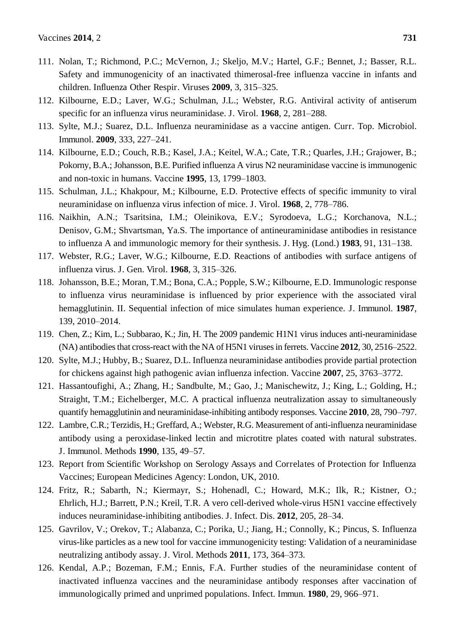- 111. Nolan, T.; Richmond, P.C.; McVernon, J.; Skeljo, M.V.; Hartel, G.F.; Bennet, J.; Basser, R.L. Safety and immunogenicity of an inactivated thimerosal-free influenza vaccine in infants and children. Influenza Other Respir. Viruses **2009**, 3, 315–325.
- 112. Kilbourne, E.D.; Laver, W.G.; Schulman, J.L.; Webster, R.G. Antiviral activity of antiserum specific for an influenza virus neuraminidase. J. Virol. **1968**, 2, 281–288.
- 113. Sylte, M.J.; Suarez, D.L. Influenza neuraminidase as a vaccine antigen. Curr. Top. Microbiol. Immunol. **2009**, 333, 227–241.
- 114. Kilbourne, E.D.; Couch, R.B.; Kasel, J.A.; Keitel, W.A.; Cate, T.R.; Quarles, J.H.; Grajower, B.; Pokorny, B.A.; Johansson, B.E. Purified influenza A virus N2 neuraminidase vaccine is immunogenic and non-toxic in humans. Vaccine **1995**, 13, 1799–1803.
- 115. Schulman, J.L.; Khakpour, M.; Kilbourne, E.D. Protective effects of specific immunity to viral neuraminidase on influenza virus infection of mice. J. Virol. **1968**, 2, 778–786.
- 116. Naikhin, A.N.; Tsaritsina, I.M.; Oleinikova, E.V.; Syrodoeva, L.G.; Korchanova, N.L.; Denisov, G.M.; Shvartsman, Ya.S. The importance of antineuraminidase antibodies in resistance to influenza A and immunologic memory for their synthesis. J. Hyg. (Lond.) **1983**, 91, 131–138.
- 117. Webster, R.G.; Laver, W.G.; Kilbourne, E.D. Reactions of antibodies with surface antigens of influenza virus. J. Gen. Virol. **1968**, 3, 315–326.
- 118. Johansson, B.E.; Moran, T.M.; Bona, C.A.; Popple, S.W.; Kilbourne, E.D. Immunologic response to influenza virus neuraminidase is influenced by prior experience with the associated viral hemagglutinin. II. Sequential infection of mice simulates human experience. J. Immunol. **1987**, 139, 2010–2014.
- 119. Chen, Z.; Kim, L.; Subbarao, K.; Jin, H. The 2009 pandemic H1N1 virus induces anti-neuraminidase (NA) antibodies that cross-react with the NA of H5N1 viruses in ferrets. Vaccine **2012**, 30, 2516–2522.
- 120. Sylte, M.J.; Hubby, B.; Suarez, D.L. Influenza neuraminidase antibodies provide partial protection for chickens against high pathogenic avian influenza infection. Vaccine **2007**, 25, 3763–3772.
- 121. Hassantoufighi, A.; Zhang, H.; Sandbulte, M.; Gao, J.; Manischewitz, J.; King, L.; Golding, H.; Straight, T.M.; Eichelberger, M.C. A practical influenza neutralization assay to simultaneously quantify hemagglutinin and neuraminidase-inhibiting antibody responses. Vaccine **2010**, 28, 790–797.
- 122. Lambre, C.R.; Terzidis, H.; Greffard, A.; Webster, R.G. Measurement of anti-influenza neuraminidase antibody using a peroxidase-linked lectin and microtitre plates coated with natural substrates. J. Immunol. Methods **1990**, 135, 49–57.
- 123. Report from Scientific Workshop on Serology Assays and Correlates of Protection for Influenza Vaccines; European Medicines Agency: London, UK, 2010.
- 124. Fritz, R.; Sabarth, N.; Kiermayr, S.; Hohenadl, C.; Howard, M.K.; Ilk, R.; Kistner, O.; Ehrlich, H.J.; Barrett, P.N.; Kreil, T.R. A vero cell-derived whole-virus H5N1 vaccine effectively induces neuraminidase-inhibiting antibodies. J. Infect. Dis. **2012**, 205, 28–34.
- 125. Gavrilov, V.; Orekov, T.; Alabanza, C.; Porika, U.; Jiang, H.; Connolly, K.; Pincus, S. Influenza virus-like particles as a new tool for vaccine immunogenicity testing: Validation of a neuraminidase neutralizing antibody assay. J. Virol. Methods **2011**, 173, 364–373.
- 126. Kendal, A.P.; Bozeman, F.M.; Ennis, F.A. Further studies of the neuraminidase content of inactivated influenza vaccines and the neuraminidase antibody responses after vaccination of immunologically primed and unprimed populations. Infect. Immun. **1980**, 29, 966–971.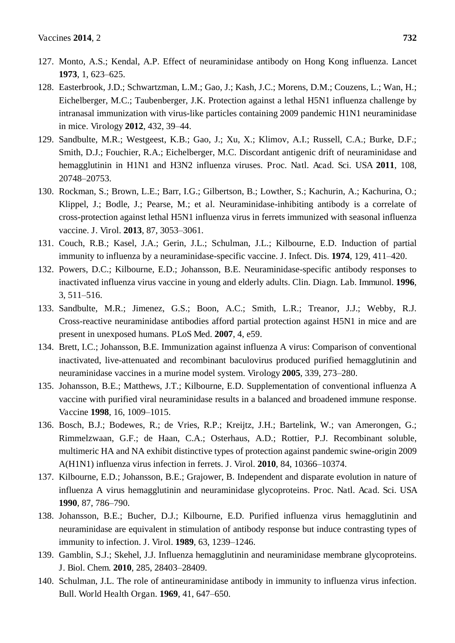- 127. Monto, A.S.; Kendal, A.P. Effect of neuraminidase antibody on Hong Kong influenza. Lancet **1973**, 1, 623–625.
- 128. Easterbrook, J.D.; Schwartzman, L.M.; Gao, J.; Kash, J.C.; Morens, D.M.; Couzens, L.; Wan, H.; Eichelberger, M.C.; Taubenberger, J.K. Protection against a lethal H5N1 influenza challenge by intranasal immunization with virus-like particles containing 2009 pandemic H1N1 neuraminidase in mice. Virology **2012**, 432, 39–44.
- 129. Sandbulte, M.R.; Westgeest, K.B.; Gao, J.; Xu, X.; Klimov, A.I.; Russell, C.A.; Burke, D.F.; Smith, D.J.; Fouchier, R.A.; Eichelberger, M.C. Discordant antigenic drift of neuraminidase and hemagglutinin in H1N1 and H3N2 influenza viruses. Proc. Natl. Acad. Sci. USA **2011**, 108, 20748–20753.
- 130. Rockman, S.; Brown, L.E.; Barr, I.G.; Gilbertson, B.; Lowther, S.; Kachurin, A.; Kachurina, O.; Klippel, J.; Bodle, J.; Pearse, M.; et al. Neuraminidase-inhibiting antibody is a correlate of cross-protection against lethal H5N1 influenza virus in ferrets immunized with seasonal influenza vaccine. J. Virol. **2013**, 87, 3053–3061.
- 131. Couch, R.B.; Kasel, J.A.; Gerin, J.L.; Schulman, J.L.; Kilbourne, E.D. Induction of partial immunity to influenza by a neuraminidase-specific vaccine. J. Infect. Dis. **1974**, 129, 411–420.
- 132. Powers, D.C.; Kilbourne, E.D.; Johansson, B.E. Neuraminidase-specific antibody responses to inactivated influenza virus vaccine in young and elderly adults. Clin. Diagn. Lab. Immunol. **1996**, 3, 511–516.
- 133. Sandbulte, M.R.; Jimenez, G.S.; Boon, A.C.; Smith, L.R.; Treanor, J.J.; Webby, R.J. Cross-reactive neuraminidase antibodies afford partial protection against H5N1 in mice and are present in unexposed humans. PLoS Med. **2007**, 4, e59.
- 134. Brett, I.C.; Johansson, B.E. Immunization against influenza A virus: Comparison of conventional inactivated, live-attenuated and recombinant baculovirus produced purified hemagglutinin and neuraminidase vaccines in a murine model system. Virology **2005**, 339, 273–280.
- 135. Johansson, B.E.; Matthews, J.T.; Kilbourne, E.D. Supplementation of conventional influenza A vaccine with purified viral neuraminidase results in a balanced and broadened immune response. Vaccine **1998**, 16, 1009–1015.
- 136. Bosch, B.J.; Bodewes, R.; de Vries, R.P.; Kreijtz, J.H.; Bartelink, W.; van Amerongen, G.; Rimmelzwaan, G.F.; de Haan, C.A.; Osterhaus, A.D.; Rottier, P.J. Recombinant soluble, multimeric HA and NA exhibit distinctive types of protection against pandemic swine-origin 2009 A(H1N1) influenza virus infection in ferrets. J. Virol. **2010**, 84, 10366–10374.
- 137. Kilbourne, E.D.; Johansson, B.E.; Grajower, B. Independent and disparate evolution in nature of influenza A virus hemagglutinin and neuraminidase glycoproteins. Proc. Natl. Acad. Sci. USA **1990**, 87, 786–790.
- 138. Johansson, B.E.; Bucher, D.J.; Kilbourne, E.D. Purified influenza virus hemagglutinin and neuraminidase are equivalent in stimulation of antibody response but induce contrasting types of immunity to infection. J. Virol. **1989**, 63, 1239–1246.
- 139. Gamblin, S.J.; Skehel, J.J. Influenza hemagglutinin and neuraminidase membrane glycoproteins. J. Biol. Chem. **2010**, 285, 28403–28409.
- 140. Schulman, J.L. The role of antineuraminidase antibody in immunity to influenza virus infection. Bull. World Health Organ. **1969**, 41, 647–650.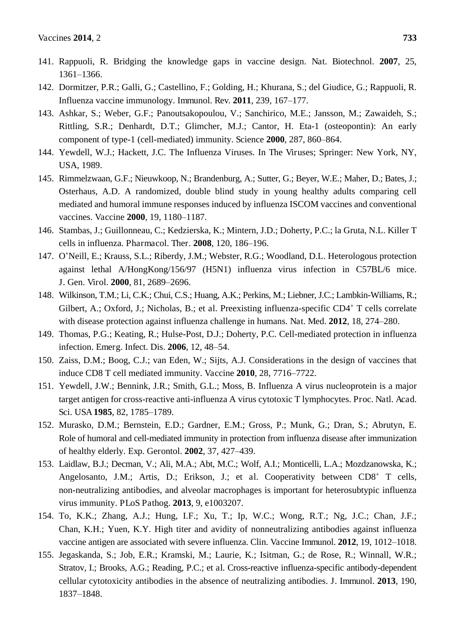- 141. Rappuoli, R. Bridging the knowledge gaps in vaccine design. Nat. Biotechnol. **2007**, 25, 1361–1366.
- 142. Dormitzer, P.R.; Galli, G.; Castellino, F.; Golding, H.; Khurana, S.; del Giudice, G.; Rappuoli, R. Influenza vaccine immunology. Immunol. Rev. **2011**, 239, 167–177.
- 143. Ashkar, S.; Weber, G.F.; Panoutsakopoulou, V.; Sanchirico, M.E.; Jansson, M.; Zawaideh, S.; Rittling, S.R.; Denhardt, D.T.; Glimcher, M.J.; Cantor, H. Eta-1 (osteopontin): An early component of type-1 (cell-mediated) immunity. Science **2000**, 287, 860–864.
- 144. Yewdell, W.J.; Hackett, J.C. The Influenza Viruses. In The Viruses; Springer: New York, NY, USA, 1989.
- 145. Rimmelzwaan, G.F.; Nieuwkoop, N.; Brandenburg, A.; Sutter, G.; Beyer, W.E.; Maher, D.; Bates, J.; Osterhaus, A.D. A randomized, double blind study in young healthy adults comparing cell mediated and humoral immune responses induced by influenza ISCOM vaccines and conventional vaccines. Vaccine **2000**, 19, 1180–1187.
- 146. Stambas, J.; Guillonneau, C.; Kedzierska, K.; Mintern, J.D.; Doherty, P.C.; la Gruta, N.L. Killer T cells in influenza. Pharmacol. Ther. **2008**, 120, 186–196.
- 147. O'Neill, E.; Krauss, S.L.; Riberdy, J.M.; Webster, R.G.; Woodland, D.L. Heterologous protection against lethal A/HongKong/156/97 (H5N1) influenza virus infection in C57BL/6 mice. J. Gen. Virol. **2000**, 81, 2689–2696.
- 148. Wilkinson, T.M.; Li, C.K.; Chui, C.S.; Huang, A.K.; Perkins, M.; Liebner, J.C.; Lambkin-Williams, R.; Gilbert, A.; Oxford, J.; Nicholas, B.; et al. Preexisting influenza-specific CD4<sup>+</sup> T cells correlate with disease protection against influenza challenge in humans. Nat. Med. **2012**, 18, 274–280.
- 149. Thomas, P.G.; Keating, R.; Hulse-Post, D.J.; Doherty, P.C. Cell-mediated protection in influenza infection. Emerg. Infect. Dis. **2006**, 12, 48–54.
- 150. Zaiss, D.M.; Boog, C.J.; van Eden, W.; Sijts, A.J. Considerations in the design of vaccines that induce CD8 T cell mediated immunity. Vaccine **2010**, 28, 7716–7722.
- 151. Yewdell, J.W.; Bennink, J.R.; Smith, G.L.; Moss, B. Influenza A virus nucleoprotein is a major target antigen for cross-reactive anti-influenza A virus cytotoxic T lymphocytes. Proc. Natl. Acad. Sci. USA **1985**, 82, 1785–1789.
- 152. Murasko, D.M.; Bernstein, E.D.; Gardner, E.M.; Gross, P.; Munk, G.; Dran, S.; Abrutyn, E. Role of humoral and cell-mediated immunity in protection from influenza disease after immunization of healthy elderly. Exp. Gerontol. **2002**, 37, 427–439.
- 153. Laidlaw, B.J.; Decman, V.; Ali, M.A.; Abt, M.C.; Wolf, A.I.; Monticelli, L.A.; Mozdzanowska, K.; Angelosanto, J.M.; Artis, D.; Erikson, J.; et al. Cooperativity between CD8<sup>+</sup> T cells, non-neutralizing antibodies, and alveolar macrophages is important for heterosubtypic influenza virus immunity. PLoS Pathog. **2013**, 9, e1003207.
- 154. To, K.K.; Zhang, A.J.; Hung, I.F.; Xu, T.; Ip, W.C.; Wong, R.T.; Ng, J.C.; Chan, J.F.; Chan, K.H.; Yuen, K.Y. High titer and avidity of nonneutralizing antibodies against influenza vaccine antigen are associated with severe influenza. Clin. Vaccine Immunol. **2012**, 19, 1012–1018.
- 155. Jegaskanda, S.; Job, E.R.; Kramski, M.; Laurie, K.; Isitman, G.; de Rose, R.; Winnall, W.R.; Stratov, I.; Brooks, A.G.; Reading, P.C.; et al. Cross-reactive influenza-specific antibody-dependent cellular cytotoxicity antibodies in the absence of neutralizing antibodies. J. Immunol. **2013**, 190, 1837–1848.